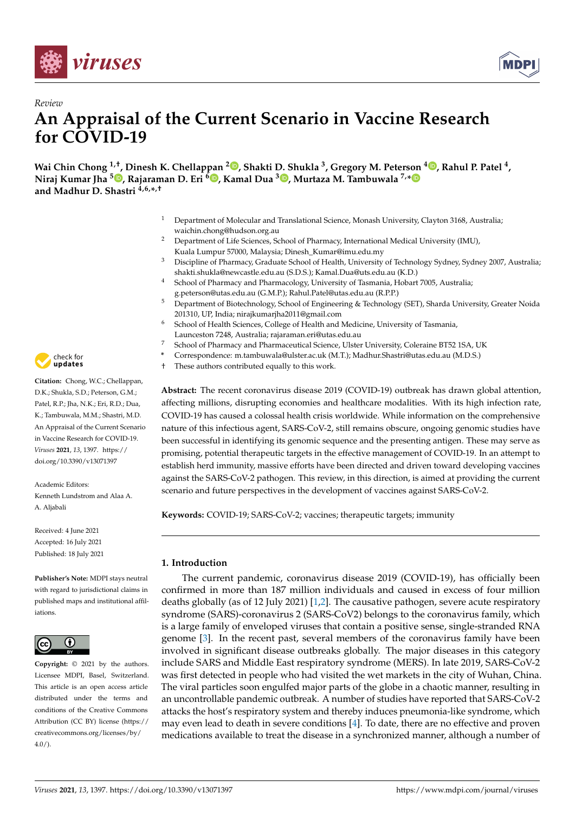



# *Review* **An Appraisal of the Current Scenario in Vaccine Research for COVID-19**

**Wai Chin Chong 1,†, Dinesh K. Chellappan <sup>2</sup> [,](https://orcid.org/0000-0001-5567-6663) Shakti D. Shukla <sup>3</sup> , Gregory M. Peterson [4](https://orcid.org/0000-0002-6764-3882) , Rahul P. Patel <sup>4</sup> , Niraj Kumar Jha <sup>5</sup> [,](https://orcid.org/0000-0001-9486-4069) Rajaraman D. Eri <sup>6</sup> [,](https://orcid.org/0000-0003-1688-8043) Kamal Dua <sup>3</sup> [,](https://orcid.org/0000-0002-7507-1159) Murtaza M. Tambuwala 7,[\\*](https://orcid.org/0000-0001-8499-9891) and Madhur D. Shastri 4,6,\* ,†**

- <sup>1</sup> Department of Molecular and Translational Science, Monash University, Clayton 3168, Australia; waichin.chong@hudson.org.au
- <sup>2</sup> Department of Life Sciences, School of Pharmacy, International Medical University (IMU), Kuala Lumpur 57000, Malaysia; Dinesh\_Kumar@imu.edu.my
- <sup>3</sup> Discipline of Pharmacy, Graduate School of Health, University of Technology Sydney, Sydney 2007, Australia; shakti.shukla@newcastle.edu.au (S.D.S.); Kamal.Dua@uts.edu.au (K.D.)
- <sup>4</sup> School of Pharmacy and Pharmacology, University of Tasmania, Hobart 7005, Australia; g.peterson@utas.edu.au (G.M.P.); Rahul.Patel@utas.edu.au (R.P.P.)
- <sup>5</sup> Department of Biotechnology, School of Engineering & Technology (SET), Sharda University, Greater Noida 201310, UP, India; nirajkumarjha2011@gmail.com
- <sup>6</sup> School of Health Sciences, College of Health and Medicine, University of Tasmania, Launceston 7248, Australia; rajaraman.eri@utas.edu.au
- <sup>7</sup> School of Pharmacy and Pharmaceutical Science, Ulster University, Coleraine BT52 1SA, UK
- **\*** Correspondence: m.tambuwala@ulster.ac.uk (M.T.); Madhur.Shastri@utas.edu.au (M.D.S.)
- These authors contributed equally to this work.

**Abstract:** The recent coronavirus disease 2019 (COVID-19) outbreak has drawn global attention, affecting millions, disrupting economies and healthcare modalities. With its high infection rate, COVID-19 has caused a colossal health crisis worldwide. While information on the comprehensive nature of this infectious agent, SARS-CoV-2, still remains obscure, ongoing genomic studies have been successful in identifying its genomic sequence and the presenting antigen. These may serve as promising, potential therapeutic targets in the effective management of COVID-19. In an attempt to establish herd immunity, massive efforts have been directed and driven toward developing vaccines against the SARS-CoV-2 pathogen. This review, in this direction, is aimed at providing the current scenario and future perspectives in the development of vaccines against SARS-CoV-2.

**Keywords:** COVID-19; SARS-CoV-2; vaccines; therapeutic targets; immunity

# **1. Introduction**

The current pandemic, coronavirus disease 2019 (COVID-19), has officially been confirmed in more than 187 million individuals and caused in excess of four million deaths globally (as of 12 July 2021) [\[1,](#page-11-0)[2\]](#page-11-1). The causative pathogen, severe acute respiratory syndrome (SARS)-coronavirus 2 (SARS-CoV2) belongs to the coronavirus family, which is a large family of enveloped viruses that contain a positive sense, single-stranded RNA genome [\[3\]](#page-11-2). In the recent past, several members of the coronavirus family have been involved in significant disease outbreaks globally. The major diseases in this category include SARS and Middle East respiratory syndrome (MERS). In late 2019, SARS-CoV-2 was first detected in people who had visited the wet markets in the city of Wuhan, China. The viral particles soon engulfed major parts of the globe in a chaotic manner, resulting in an uncontrollable pandemic outbreak. A number of studies have reported that SARS-CoV-2 attacks the host's respiratory system and thereby induces pneumonia-like syndrome, which may even lead to death in severe conditions [\[4\]](#page-11-3). To date, there are no effective and proven medications available to treat the disease in a synchronized manner, although a number of



**Citation:** Chong, W.C.; Chellappan, D.K.; Shukla, S.D.; Peterson, G.M.; Patel, R.P.; Jha, N.K.; Eri, R.D.; Dua, K.; Tambuwala, M.M.; Shastri, M.D. An Appraisal of the Current Scenario in Vaccine Research for COVID-19. *Viruses* **2021**, *13*, 1397. [https://](https://doi.org/10.3390/v13071397) [doi.org/10.3390/v13071397](https://doi.org/10.3390/v13071397)

Academic Editors: Kenneth Lundstrom and Alaa A. A. Aljabali

Received: 4 June 2021 Accepted: 16 July 2021 Published: 18 July 2021

**Publisher's Note:** MDPI stays neutral with regard to jurisdictional claims in published maps and institutional affiliations.



**Copyright:** © 2021 by the authors. Licensee MDPI, Basel, Switzerland. This article is an open access article distributed under the terms and conditions of the Creative Commons Attribution (CC BY) license (https:/[/](https://creativecommons.org/licenses/by/4.0/) [creativecommons.org/licenses/by/](https://creativecommons.org/licenses/by/4.0/)  $4.0/$ ).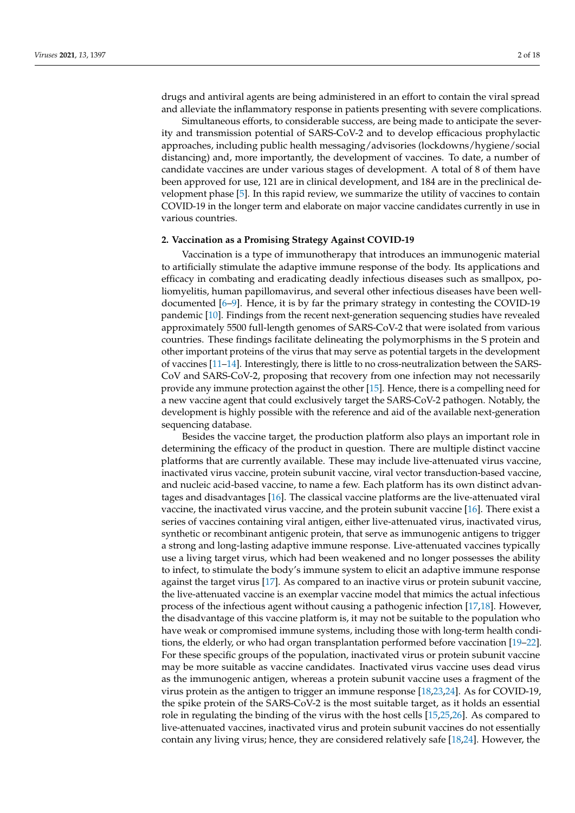drugs and antiviral agents are being administered in an effort to contain the viral spread and alleviate the inflammatory response in patients presenting with severe complications.

Simultaneous efforts, to considerable success, are being made to anticipate the severity and transmission potential of SARS-CoV-2 and to develop efficacious prophylactic approaches, including public health messaging/advisories (lockdowns/hygiene/social distancing) and, more importantly, the development of vaccines. To date, a number of candidate vaccines are under various stages of development. A total of 8 of them have been approved for use, 121 are in clinical development, and 184 are in the preclinical development phase [\[5\]](#page-11-4). In this rapid review, we summarize the utility of vaccines to contain COVID-19 in the longer term and elaborate on major vaccine candidates currently in use in various countries.

#### **2. Vaccination as a Promising Strategy Against COVID-19**

Vaccination is a type of immunotherapy that introduces an immunogenic material to artificially stimulate the adaptive immune response of the body. Its applications and efficacy in combating and eradicating deadly infectious diseases such as smallpox, poliomyelitis, human papillomavirus, and several other infectious diseases have been welldocumented [\[6](#page-12-0)[–9\]](#page-12-1). Hence, it is by far the primary strategy in contesting the COVID-19 pandemic [\[10\]](#page-12-2). Findings from the recent next-generation sequencing studies have revealed approximately 5500 full-length genomes of SARS-CoV-2 that were isolated from various countries. These findings facilitate delineating the polymorphisms in the S protein and other important proteins of the virus that may serve as potential targets in the development of vaccines [\[11–](#page-12-3)[14\]](#page-12-4). Interestingly, there is little to no cross-neutralization between the SARS-CoV and SARS-CoV-2, proposing that recovery from one infection may not necessarily provide any immune protection against the other [\[15\]](#page-12-5). Hence, there is a compelling need for a new vaccine agent that could exclusively target the SARS-CoV-2 pathogen. Notably, the development is highly possible with the reference and aid of the available next-generation sequencing database.

Besides the vaccine target, the production platform also plays an important role in determining the efficacy of the product in question. There are multiple distinct vaccine platforms that are currently available. These may include live-attenuated virus vaccine, inactivated virus vaccine, protein subunit vaccine, viral vector transduction-based vaccine, and nucleic acid-based vaccine, to name a few. Each platform has its own distinct advantages and disadvantages [\[16\]](#page-12-6). The classical vaccine platforms are the live-attenuated viral vaccine, the inactivated virus vaccine, and the protein subunit vaccine [\[16\]](#page-12-6). There exist a series of vaccines containing viral antigen, either live-attenuated virus, inactivated virus, synthetic or recombinant antigenic protein, that serve as immunogenic antigens to trigger a strong and long-lasting adaptive immune response. Live-attenuated vaccines typically use a living target virus, which had been weakened and no longer possesses the ability to infect, to stimulate the body's immune system to elicit an adaptive immune response against the target virus [\[17\]](#page-12-7). As compared to an inactive virus or protein subunit vaccine, the live-attenuated vaccine is an exemplar vaccine model that mimics the actual infectious process of the infectious agent without causing a pathogenic infection [\[17,](#page-12-7)[18\]](#page-12-8). However, the disadvantage of this vaccine platform is, it may not be suitable to the population who have weak or compromised immune systems, including those with long-term health conditions, the elderly, or who had organ transplantation performed before vaccination [\[19](#page-12-9)[–22\]](#page-12-10). For these specific groups of the population, inactivated virus or protein subunit vaccine may be more suitable as vaccine candidates. Inactivated virus vaccine uses dead virus as the immunogenic antigen, whereas a protein subunit vaccine uses a fragment of the virus protein as the antigen to trigger an immune response [\[18](#page-12-8)[,23](#page-12-11)[,24\]](#page-12-12). As for COVID-19, the spike protein of the SARS-CoV-2 is the most suitable target, as it holds an essential role in regulating the binding of the virus with the host cells [\[15](#page-12-5)[,25](#page-12-13)[,26\]](#page-12-14). As compared to live-attenuated vaccines, inactivated virus and protein subunit vaccines do not essentially contain any living virus; hence, they are considered relatively safe [\[18,](#page-12-8)[24\]](#page-12-12). However, the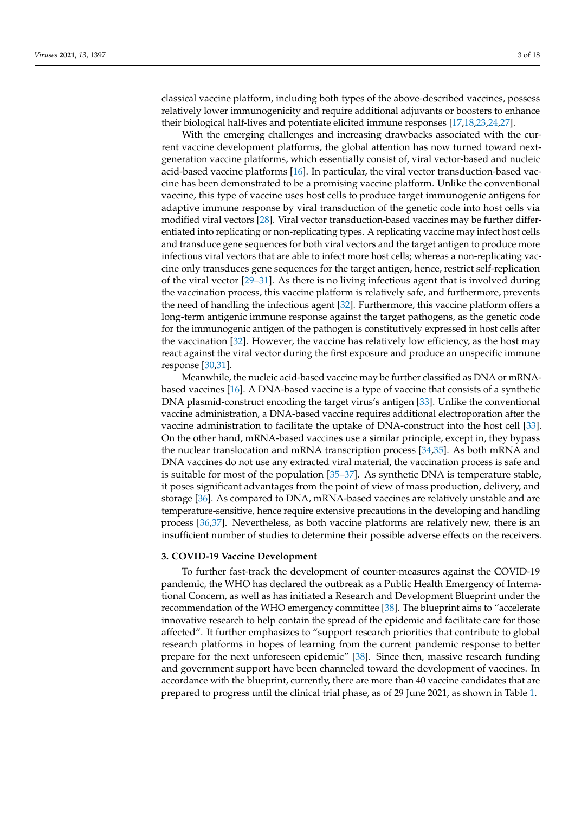classical vaccine platform, including both types of the above-described vaccines, possess relatively lower immunogenicity and require additional adjuvants or boosters to enhance their biological half-lives and potentiate elicited immune responses [\[17](#page-12-7)[,18](#page-12-8)[,23,](#page-12-11)[24,](#page-12-12)[27\]](#page-12-15).

With the emerging challenges and increasing drawbacks associated with the current vaccine development platforms, the global attention has now turned toward nextgeneration vaccine platforms, which essentially consist of, viral vector-based and nucleic acid-based vaccine platforms [\[16\]](#page-12-6). In particular, the viral vector transduction-based vaccine has been demonstrated to be a promising vaccine platform. Unlike the conventional vaccine, this type of vaccine uses host cells to produce target immunogenic antigens for adaptive immune response by viral transduction of the genetic code into host cells via modified viral vectors [\[28\]](#page-12-16). Viral vector transduction-based vaccines may be further differentiated into replicating or non-replicating types. A replicating vaccine may infect host cells and transduce gene sequences for both viral vectors and the target antigen to produce more infectious viral vectors that are able to infect more host cells; whereas a non-replicating vaccine only transduces gene sequences for the target antigen, hence, restrict self-replication of the viral vector [\[29](#page-12-17)[–31\]](#page-12-18). As there is no living infectious agent that is involved during the vaccination process, this vaccine platform is relatively safe, and furthermore, prevents the need of handling the infectious agent [\[32\]](#page-12-19). Furthermore, this vaccine platform offers a long-term antigenic immune response against the target pathogens, as the genetic code for the immunogenic antigen of the pathogen is constitutively expressed in host cells after the vaccination [\[32\]](#page-12-19). However, the vaccine has relatively low efficiency, as the host may react against the viral vector during the first exposure and produce an unspecific immune response [\[30,](#page-12-20)[31\]](#page-12-18).

Meanwhile, the nucleic acid-based vaccine may be further classified as DNA or mRNAbased vaccines [\[16\]](#page-12-6). A DNA-based vaccine is a type of vaccine that consists of a synthetic DNA plasmid-construct encoding the target virus's antigen [\[33\]](#page-12-21). Unlike the conventional vaccine administration, a DNA-based vaccine requires additional electroporation after the vaccine administration to facilitate the uptake of DNA-construct into the host cell [\[33\]](#page-12-21). On the other hand, mRNA-based vaccines use a similar principle, except in, they bypass the nuclear translocation and mRNA transcription process [\[34](#page-13-0)[,35\]](#page-13-1). As both mRNA and DNA vaccines do not use any extracted viral material, the vaccination process is safe and is suitable for most of the population [\[35–](#page-13-1)[37\]](#page-13-2). As synthetic DNA is temperature stable, it poses significant advantages from the point of view of mass production, delivery, and storage [\[36\]](#page-13-3). As compared to DNA, mRNA-based vaccines are relatively unstable and are temperature-sensitive, hence require extensive precautions in the developing and handling process [\[36,](#page-13-3)[37\]](#page-13-2). Nevertheless, as both vaccine platforms are relatively new, there is an insufficient number of studies to determine their possible adverse effects on the receivers.

#### **3. COVID-19 Vaccine Development**

To further fast-track the development of counter-measures against the COVID-19 pandemic, the WHO has declared the outbreak as a Public Health Emergency of International Concern, as well as has initiated a Research and Development Blueprint under the recommendation of the WHO emergency committee [\[38\]](#page-13-4). The blueprint aims to "accelerate innovative research to help contain the spread of the epidemic and facilitate care for those affected". It further emphasizes to "support research priorities that contribute to global research platforms in hopes of learning from the current pandemic response to better prepare for the next unforeseen epidemic" [\[38\]](#page-13-4). Since then, massive research funding and government support have been channeled toward the development of vaccines. In accordance with the blueprint, currently, there are more than 40 vaccine candidates that are prepared to progress until the clinical trial phase, as of 29 June 2021, as shown in Table [1.](#page-3-0)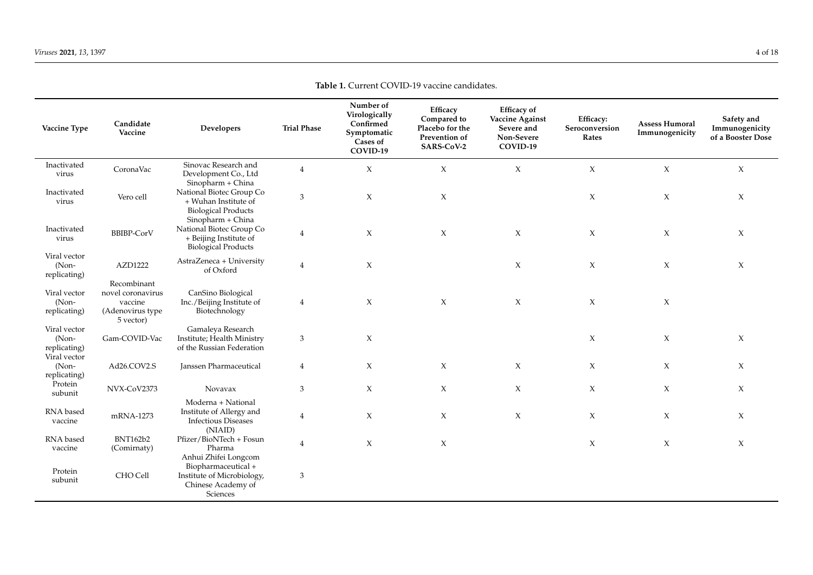<span id="page-3-0"></span>

| Vaccine Type                                          | Candidate<br>Vaccine                                                         | Developers                                                                                          | <b>Trial Phase</b> | Number of<br>Virologically<br>Confirmed<br>Symptomatic<br>Cases of<br>COVID-19 | Efficacy<br>Compared to<br>Placebo for the<br>Prevention of<br>SARS-CoV-2 | <b>Efficacy</b> of<br>Vaccine Against<br>Severe and<br>Non-Severe<br>COVID-19 | Efficacy:<br>Seroconversion<br>Rates | <b>Assess Humoral</b><br>Immunogenicity | Safety and<br>Immunogenicity<br>of a Booster Dose |
|-------------------------------------------------------|------------------------------------------------------------------------------|-----------------------------------------------------------------------------------------------------|--------------------|--------------------------------------------------------------------------------|---------------------------------------------------------------------------|-------------------------------------------------------------------------------|--------------------------------------|-----------------------------------------|---------------------------------------------------|
| Inactivated<br>virus                                  | CoronaVac                                                                    | Sinovac Research and<br>Development Co., Ltd<br>Sinopharm + China                                   | $\overline{4}$     | $\chi$                                                                         | $\chi$                                                                    | $\boldsymbol{\chi}$                                                           | $\chi$                               | $\chi$                                  | X                                                 |
| Inactivated<br>virus                                  | Vero cell                                                                    | National Biotec Group Co<br>+ Wuhan Institute of<br><b>Biological Products</b><br>Sinopharm + China | 3                  | $\chi$                                                                         | $\chi$                                                                    |                                                                               | $\chi$                               | $\chi$                                  | $\chi$                                            |
| Inactivated<br>virus                                  | <b>BBIBP-CorV</b>                                                            | National Biotec Group Co<br>+ Beijing Institute of<br><b>Biological Products</b>                    | $\overline{4}$     | $\chi$                                                                         | $\mathsf X$                                                               | X                                                                             | $\mathsf X$                          | $\boldsymbol{\chi}$                     | X                                                 |
| Viral vector<br>(Non-<br>replicating)                 | AZD1222                                                                      | AstraZeneca + University<br>of Oxford                                                               | $\overline{4}$     | $\chi$                                                                         |                                                                           | X                                                                             | $\chi$                               | $\chi$                                  | X                                                 |
| Viral vector<br>$(Non-$<br>replicating)               | Recombinant<br>novel coronavirus<br>vaccine<br>(Adenovirus type<br>5 vector) | CanSino Biological<br>Inc./Beijing Institute of<br>Biotechnology                                    | $\overline{4}$     | $\chi$                                                                         | $\mathsf X$                                                               | X                                                                             | $\chi$                               | $\boldsymbol{\chi}$                     |                                                   |
| Viral vector<br>(Non-<br>replicating)<br>Viral vector | Gam-COVID-Vac                                                                | Gamaleya Research<br>Institute; Health Ministry<br>of the Russian Federation                        | 3                  | $\chi$                                                                         |                                                                           |                                                                               | $\mathsf X$                          | $\mathsf X$                             | X                                                 |
| $(Non-$<br>replicating)                               | Ad26.COV2.S                                                                  | Janssen Pharmaceutical                                                                              | $\overline{4}$     | $\chi$                                                                         | $\mathsf X$                                                               | X                                                                             | X                                    | $\boldsymbol{\chi}$                     | X                                                 |
| Protein<br>subunit                                    | NVX-CoV2373                                                                  | Novavax                                                                                             | 3                  | $\chi$                                                                         | $\chi$                                                                    | $\chi$                                                                        | X                                    | $\chi$                                  | X                                                 |
| RNA based<br>vaccine                                  | mRNA-1273                                                                    | Moderna + National<br>Institute of Allergy and<br><b>Infectious Diseases</b><br>(NIAID)             | $\overline{4}$     | $\chi$                                                                         | X                                                                         | X                                                                             | $\mathsf X$                          | $\boldsymbol{\chi}$                     | X                                                 |
| RNA based<br>vaccine                                  | <b>BNT162b2</b><br>(Comirnaty)                                               | Pfizer/BioNTech + Fosun<br>Pharma<br>Anhui Zhifei Longcom                                           | $\overline{4}$     | $\chi$                                                                         | $\mathsf X$                                                               |                                                                               | X                                    | $\boldsymbol{\chi}$                     | X                                                 |
| Protein<br>subunit                                    | CHO Cell                                                                     | Biopharmaceutical +<br>Institute of Microbiology,<br>Chinese Academy of<br>Sciences                 | 3                  |                                                                                |                                                                           |                                                                               |                                      |                                         |                                                   |

**Table 1.** Current COVID-19 vaccine candidates.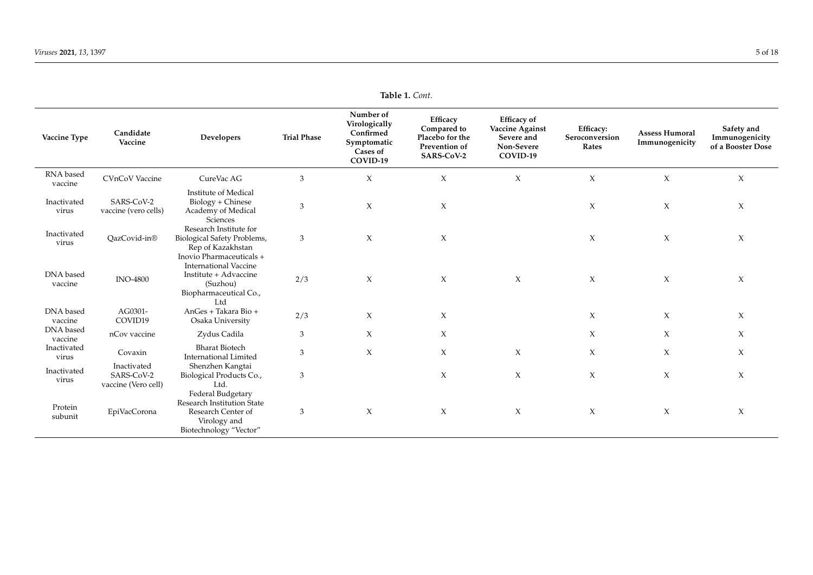| Vaccine Type         | Candidate<br>Vaccine                             | <b>Developers</b>                                                                                                              | <b>Trial Phase</b> | Number of<br>Virologically<br>Confirmed<br>Symptomatic<br>Cases of<br>COVID-19 | Efficacy<br>Compared to<br>Placebo for the<br>Prevention of<br>SARS-CoV-2 | <b>Efficacy</b> of<br><b>Vaccine Against</b><br>Severe and<br>Non-Severe<br>COVID-19 | Efficacy:<br>Seroconversion<br>Rates | <b>Assess Humoral</b><br>Immunogenicity | Safety and<br>Immunogenicity<br>of a Booster Dose |
|----------------------|--------------------------------------------------|--------------------------------------------------------------------------------------------------------------------------------|--------------------|--------------------------------------------------------------------------------|---------------------------------------------------------------------------|--------------------------------------------------------------------------------------|--------------------------------------|-----------------------------------------|---------------------------------------------------|
| RNA based<br>vaccine | <b>CVnCoV</b> Vaccine                            | CureVac AG                                                                                                                     | 3                  | $\chi$                                                                         | $\mathsf X$                                                               | $\mathsf X$                                                                          | $\mathsf X$                          | $\chi$                                  | $\chi$                                            |
| Inactivated<br>virus | SARS-CoV-2<br>vaccine (vero cells)               | Institute of Medical<br>Biology + Chinese<br>Academy of Medical<br>Sciences                                                    | $\mathfrak{Z}$     | $\chi$                                                                         | $\chi$                                                                    |                                                                                      | $\chi$                               | $\chi$                                  | $\chi$                                            |
| Inactivated<br>virus | OazCovid-in®                                     | Research Institute for<br>Biological Safety Problems,<br>Rep of Kazakhstan                                                     | 3                  | $\boldsymbol{\chi}$                                                            | X                                                                         |                                                                                      | $\chi$                               | X                                       | $\chi$                                            |
| DNA based<br>vaccine | <b>INO-4800</b>                                  | Inovio Pharmaceuticals +<br><b>International Vaccine</b><br>Institute + Advaccine<br>(Suzhou)<br>Biopharmaceutical Co.,<br>Ltd | 2/3                | $\chi$                                                                         | $\chi$                                                                    | $\chi$                                                                               | $\chi$                               | $\chi$                                  | $\chi$                                            |
| DNA based<br>vaccine | AG0301-<br>COVID19                               | AnGes + Takara Bio +<br>Osaka University                                                                                       | 2/3                | X                                                                              | X                                                                         |                                                                                      | $\chi$                               | X                                       | X                                                 |
| DNA based<br>vaccine | nCov vaccine                                     | Zydus Cadila                                                                                                                   | 3                  | X                                                                              | X                                                                         |                                                                                      | $\chi$                               | $\chi$                                  | X                                                 |
| Inactivated<br>virus | Covaxin                                          | <b>Bharat Biotech</b><br><b>International Limited</b>                                                                          | 3                  | $\chi$                                                                         | $\chi$                                                                    | X                                                                                    | $\chi$                               | $\chi$                                  | X                                                 |
| Inactivated<br>virus | Inactivated<br>SARS-CoV-2<br>vaccine (Vero cell) | Shenzhen Kangtai<br>Biological Products Co.,<br>Ltd.                                                                           | 3                  |                                                                                | X                                                                         | X                                                                                    | $\chi$                               | $\chi$                                  | $\chi$                                            |
| Protein<br>subunit   | EpiVacCorona                                     | Federal Budgetary<br>Research Institution State<br>Research Center of<br>Virology and<br>Biotechnology "Vector"                | 3                  | $\boldsymbol{\chi}$                                                            | $\chi$                                                                    | $\boldsymbol{\chi}$                                                                  | $\chi$                               | $\chi$                                  | $\chi$                                            |

**Table 1.** *Cont.*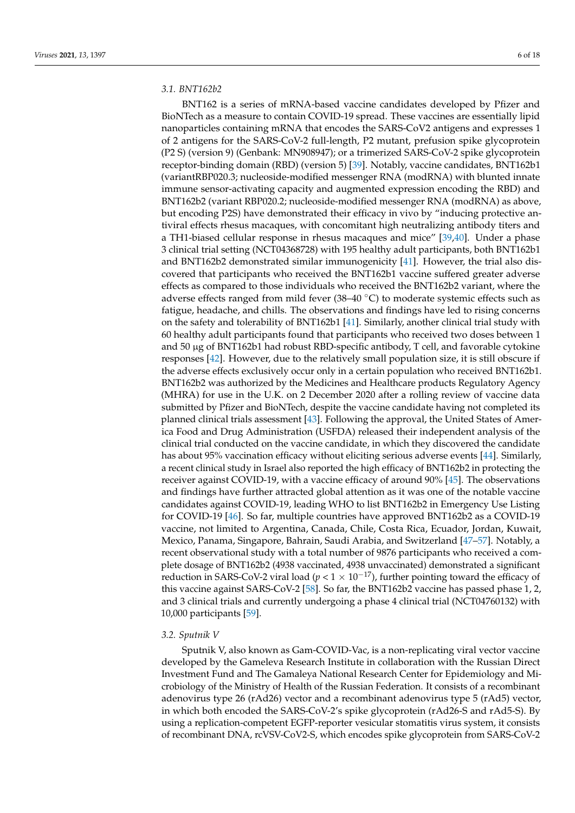# *3.1. BNT162b2*

BNT162 is a series of mRNA-based vaccine candidates developed by Pfizer and BioNTech as a measure to contain COVID-19 spread. These vaccines are essentially lipid nanoparticles containing mRNA that encodes the SARS-CoV2 antigens and expresses 1 of 2 antigens for the SARS-CoV-2 full-length, P2 mutant, prefusion spike glycoprotein (P2 S) (version 9) (Genbank: MN908947); or a trimerized SARS-CoV-2 spike glycoprotein receptor-binding domain (RBD) (version 5) [\[39\]](#page-13-5). Notably, vaccine candidates, BNT162b1 (variantRBP020.3; nucleoside-modified messenger RNA (modRNA) with blunted innate immune sensor-activating capacity and augmented expression encoding the RBD) and BNT162b2 (variant RBP020.2; nucleoside-modified messenger RNA (modRNA) as above, but encoding P2S) have demonstrated their efficacy in vivo by "inducing protective antiviral effects rhesus macaques, with concomitant high neutralizing antibody titers and a TH1-biased cellular response in rhesus macaques and mice" [\[39,](#page-13-5)[40\]](#page-13-6). Under a phase 3 clinical trial setting (NCT04368728) with 195 healthy adult participants, both BNT162b1 and BNT162b2 demonstrated similar immunogenicity [\[41\]](#page-13-7). However, the trial also discovered that participants who received the BNT162b1 vaccine suffered greater adverse effects as compared to those individuals who received the BNT162b2 variant, where the adverse effects ranged from mild fever (38–40 ◦C) to moderate systemic effects such as fatigue, headache, and chills. The observations and findings have led to rising concerns on the safety and tolerability of BNT162b1 [\[41\]](#page-13-7). Similarly, another clinical trial study with 60 healthy adult participants found that participants who received two doses between 1 and 50 µg of BNT162b1 had robust RBD-specific antibody, T cell, and favorable cytokine responses [\[42\]](#page-13-8). However, due to the relatively small population size, it is still obscure if the adverse effects exclusively occur only in a certain population who received BNT162b1. BNT162b2 was authorized by the Medicines and Healthcare products Regulatory Agency (MHRA) for use in the U.K. on 2 December 2020 after a rolling review of vaccine data submitted by Pfizer and BioNTech, despite the vaccine candidate having not completed its planned clinical trials assessment [\[43\]](#page-13-9). Following the approval, the United States of America Food and Drug Administration (USFDA) released their independent analysis of the clinical trial conducted on the vaccine candidate, in which they discovered the candidate has about 95% vaccination efficacy without eliciting serious adverse events [\[44\]](#page-13-10). Similarly, a recent clinical study in Israel also reported the high efficacy of BNT162b2 in protecting the receiver against COVID-19, with a vaccine efficacy of around 90% [\[45\]](#page-13-11). The observations and findings have further attracted global attention as it was one of the notable vaccine candidates against COVID-19, leading WHO to list BNT162b2 in Emergency Use Listing for COVID-19 [\[46\]](#page-13-12). So far, multiple countries have approved BNT162b2 as a COVID-19 vaccine, not limited to Argentina, Canada, Chile, Costa Rica, Ecuador, Jordan, Kuwait, Mexico, Panama, Singapore, Bahrain, Saudi Arabia, and Switzerland [\[47–](#page-13-13)[57\]](#page-13-14). Notably, a recent observational study with a total number of 9876 participants who received a complete dosage of BNT162b2 (4938 vaccinated, 4938 unvaccinated) demonstrated a significant reduction in SARS-CoV-2 viral load ( $p < 1 \times 10^{-17}$ ), further pointing toward the efficacy of this vaccine against SARS-CoV-2 [\[58\]](#page-13-15). So far, the BNT162b2 vaccine has passed phase 1, 2, and 3 clinical trials and currently undergoing a phase 4 clinical trial (NCT04760132) with 10,000 participants [\[59\]](#page-13-16).

#### *3.2. Sputnik V*

Sputnik V, also known as Gam-COVID-Vac, is a non-replicating viral vector vaccine developed by the Gameleva Research Institute in collaboration with the Russian Direct Investment Fund and The Gamaleya National Research Center for Epidemiology and Microbiology of the Ministry of Health of the Russian Federation. It consists of a recombinant adenovirus type 26 (rAd26) vector and a recombinant adenovirus type 5 (rAd5) vector, in which both encoded the SARS-CoV-2's spike glycoprotein (rAd26-S and rAd5-S). By using a replication-competent EGFP-reporter vesicular stomatitis virus system, it consists of recombinant DNA, rcVSV-CoV2-S, which encodes spike glycoprotein from SARS-CoV-2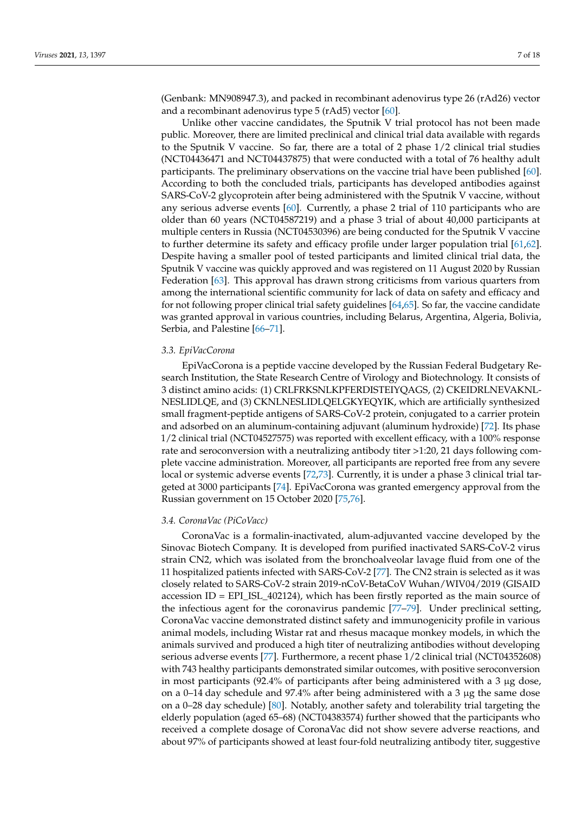(Genbank: MN908947.3), and packed in recombinant adenovirus type 26 (rAd26) vector and a recombinant adenovirus type 5 (rAd5) vector [\[60\]](#page-13-17).

Unlike other vaccine candidates, the Sputnik V trial protocol has not been made public. Moreover, there are limited preclinical and clinical trial data available with regards to the Sputnik V vaccine. So far, there are a total of 2 phase 1/2 clinical trial studies (NCT04436471 and NCT04437875) that were conducted with a total of 76 healthy adult participants. The preliminary observations on the vaccine trial have been published [\[60\]](#page-13-17). According to both the concluded trials, participants has developed antibodies against SARS-CoV-2 glycoprotein after being administered with the Sputnik V vaccine, without any serious adverse events [\[60\]](#page-13-17). Currently, a phase 2 trial of 110 participants who are older than 60 years (NCT04587219) and a phase 3 trial of about 40,000 participants at multiple centers in Russia (NCT04530396) are being conducted for the Sputnik V vaccine to further determine its safety and efficacy profile under larger population trial [\[61,](#page-13-18)[62\]](#page-13-19). Despite having a smaller pool of tested participants and limited clinical trial data, the Sputnik V vaccine was quickly approved and was registered on 11 August 2020 by Russian Federation [\[63\]](#page-13-20). This approval has drawn strong criticisms from various quarters from among the international scientific community for lack of data on safety and efficacy and for not following proper clinical trial safety guidelines [\[64,](#page-13-21)[65\]](#page-14-0). So far, the vaccine candidate was granted approval in various countries, including Belarus, Argentina, Algeria, Bolivia, Serbia, and Palestine [\[66](#page-14-1)[–71\]](#page-14-2).

## *3.3. EpiVacCorona*

EpiVacCorona is a peptide vaccine developed by the Russian Federal Budgetary Research Institution, the State Research Centre of Virology and Biotechnology. It consists of 3 distinct amino acids: (1) CRLFRKSNLKPFERDISTEIYQAGS, (2) CKEIDRLNEVAKNL-NESLIDLQE, and (3) CKNLNESLIDLQELGKYEQYIK, which are artificially synthesized small fragment-peptide antigens of SARS-CoV-2 protein, conjugated to a carrier protein and adsorbed on an aluminum-containing adjuvant (aluminum hydroxide) [\[72\]](#page-14-3). Its phase 1/2 clinical trial (NCT04527575) was reported with excellent efficacy, with a 100% response rate and seroconversion with a neutralizing antibody titer >1:20, 21 days following complete vaccine administration. Moreover, all participants are reported free from any severe local or systemic adverse events [\[72](#page-14-3)[,73\]](#page-14-4). Currently, it is under a phase 3 clinical trial targeted at 3000 participants [\[74\]](#page-14-5). EpiVacCorona was granted emergency approval from the Russian government on 15 October 2020 [\[75](#page-14-6)[,76\]](#page-14-7).

## *3.4. CoronaVac (PiCoVacc)*

CoronaVac is a formalin-inactivated, alum-adjuvanted vaccine developed by the Sinovac Biotech Company. It is developed from purified inactivated SARS-CoV-2 virus strain CN2, which was isolated from the bronchoalveolar lavage fluid from one of the 11 hospitalized patients infected with SARS-CoV-2 [\[77\]](#page-14-8). The CN2 strain is selected as it was closely related to SARS-CoV-2 strain 2019-nCoV-BetaCoV Wuhan/WIV04/2019 (GISAID accession ID = EPI\_ISL\_402124), which has been firstly reported as the main source of the infectious agent for the coronavirus pandemic [\[77](#page-14-8)[–79\]](#page-14-9). Under preclinical setting, CoronaVac vaccine demonstrated distinct safety and immunogenicity profile in various animal models, including Wistar rat and rhesus macaque monkey models, in which the animals survived and produced a high titer of neutralizing antibodies without developing serious adverse events [\[77\]](#page-14-8). Furthermore, a recent phase 1/2 clinical trial (NCT04352608) with 743 healthy participants demonstrated similar outcomes, with positive seroconversion in most participants (92.4% of participants after being administered with a 3  $\mu$ g dose, on a 0–14 day schedule and 97.4% after being administered with a 3  $\mu$ g the same dose on a 0–28 day schedule) [\[80\]](#page-14-10). Notably, another safety and tolerability trial targeting the elderly population (aged 65–68) (NCT04383574) further showed that the participants who received a complete dosage of CoronaVac did not show severe adverse reactions, and about 97% of participants showed at least four-fold neutralizing antibody titer, suggestive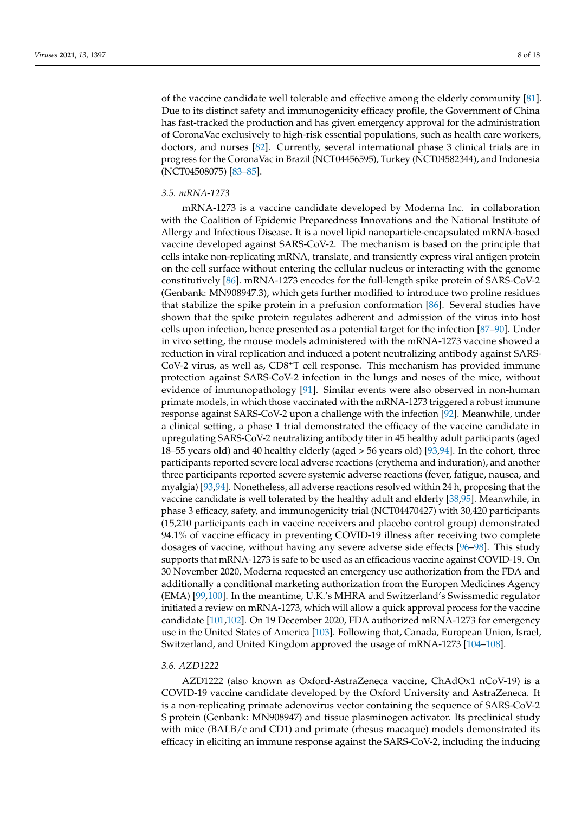of the vaccine candidate well tolerable and effective among the elderly community [\[81\]](#page-14-11). Due to its distinct safety and immunogenicity efficacy profile, the Government of China has fast-tracked the production and has given emergency approval for the administration of CoronaVac exclusively to high-risk essential populations, such as health care workers, doctors, and nurses [\[82\]](#page-14-12). Currently, several international phase 3 clinical trials are in progress for the CoronaVac in Brazil (NCT04456595), Turkey (NCT04582344), and Indonesia (NCT04508075) [\[83–](#page-14-13)[85\]](#page-14-14).

## *3.5. mRNA-1273*

mRNA-1273 is a vaccine candidate developed by Moderna Inc. in collaboration with the Coalition of Epidemic Preparedness Innovations and the National Institute of Allergy and Infectious Disease. It is a novel lipid nanoparticle-encapsulated mRNA-based vaccine developed against SARS-CoV-2. The mechanism is based on the principle that cells intake non-replicating mRNA, translate, and transiently express viral antigen protein on the cell surface without entering the cellular nucleus or interacting with the genome constitutively [\[86\]](#page-14-15). mRNA-1273 encodes for the full-length spike protein of SARS-CoV-2 (Genbank: MN908947.3), which gets further modified to introduce two proline residues that stabilize the spike protein in a prefusion conformation [\[86\]](#page-14-15). Several studies have shown that the spike protein regulates adherent and admission of the virus into host cells upon infection, hence presented as a potential target for the infection [\[87](#page-14-16)[–90\]](#page-15-0). Under in vivo setting, the mouse models administered with the mRNA-1273 vaccine showed a reduction in viral replication and induced a potent neutralizing antibody against SARS- $CoV-2$  virus, as well as,  $CD8+T$  cell response. This mechanism has provided immune protection against SARS-CoV-2 infection in the lungs and noses of the mice, without evidence of immunopathology [\[91\]](#page-15-1). Similar events were also observed in non-human primate models, in which those vaccinated with the mRNA-1273 triggered a robust immune response against SARS-CoV-2 upon a challenge with the infection [\[92\]](#page-15-2). Meanwhile, under a clinical setting, a phase 1 trial demonstrated the efficacy of the vaccine candidate in upregulating SARS-CoV-2 neutralizing antibody titer in 45 healthy adult participants (aged 18–55 years old) and 40 healthy elderly (aged > 56 years old) [\[93](#page-15-3)[,94\]](#page-15-4). In the cohort, three participants reported severe local adverse reactions (erythema and induration), and another three participants reported severe systemic adverse reactions (fever, fatigue, nausea, and myalgia) [\[93,](#page-15-3)[94\]](#page-15-4). Nonetheless, all adverse reactions resolved within 24 h, proposing that the vaccine candidate is well tolerated by the healthy adult and elderly [\[38](#page-13-4)[,95\]](#page-15-5). Meanwhile, in phase 3 efficacy, safety, and immunogenicity trial (NCT04470427) with 30,420 participants (15,210 participants each in vaccine receivers and placebo control group) demonstrated 94.1% of vaccine efficacy in preventing COVID-19 illness after receiving two complete dosages of vaccine, without having any severe adverse side effects [\[96–](#page-15-6)[98\]](#page-15-7). This study supports that mRNA-1273 is safe to be used as an efficacious vaccine against COVID-19. On 30 November 2020, Moderna requested an emergency use authorization from the FDA and additionally a conditional marketing authorization from the Europen Medicines Agency (EMA) [\[99](#page-15-8)[,100\]](#page-15-9). In the meantime, U.K.'s MHRA and Switzerland's Swissmedic regulator initiated a review on mRNA-1273, which will allow a quick approval process for the vaccine candidate [\[101](#page-15-10)[,102\]](#page-15-11). On 19 December 2020, FDA authorized mRNA-1273 for emergency use in the United States of America [\[103\]](#page-15-12). Following that, Canada, European Union, Israel, Switzerland, and United Kingdom approved the usage of mRNA-1273 [\[104](#page-15-13)[–108\]](#page-15-14).

#### *3.6. AZD1222*

AZD1222 (also known as Oxford-AstraZeneca vaccine, ChAdOx1 nCoV-19) is a COVID-19 vaccine candidate developed by the Oxford University and AstraZeneca. It is a non-replicating primate adenovirus vector containing the sequence of SARS-CoV-2 S protein (Genbank: MN908947) and tissue plasminogen activator. Its preclinical study with mice (BALB/c and CD1) and primate (rhesus macaque) models demonstrated its efficacy in eliciting an immune response against the SARS-CoV-2, including the inducing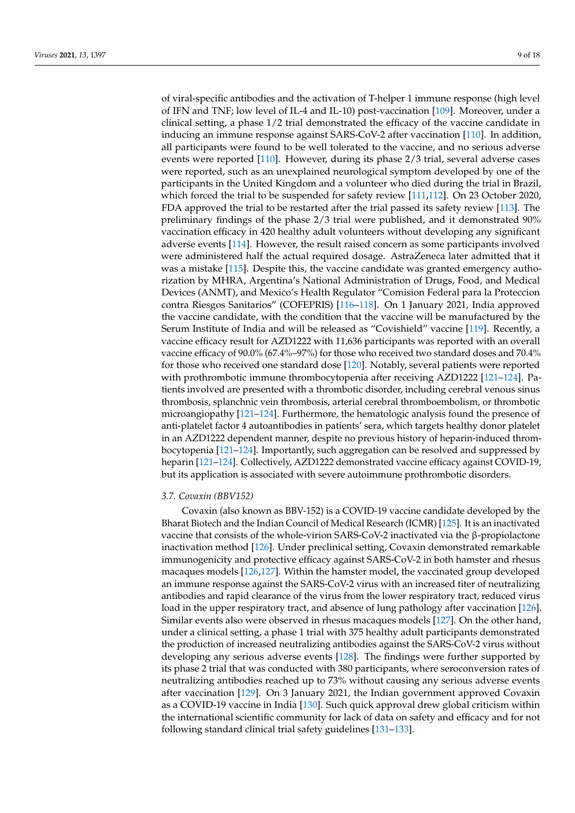of viral-specific antibodies and the activation of T-helper 1 immune response (high level of IFN and TNF; low level of IL-4 and IL-10) post-vaccination [\[109\]](#page-15-15). Moreover, under a clinical setting, a phase 1/2 trial demonstrated the efficacy of the vaccine candidate in inducing an immune response against SARS-CoV-2 after vaccination [\[110\]](#page-15-16). In addition, all participants were found to be well tolerated to the vaccine, and no serious adverse events were reported [\[110\]](#page-15-16). However, during its phase 2/3 trial, several adverse cases were reported, such as an unexplained neurological symptom developed by one of the participants in the United Kingdom and a volunteer who died during the trial in Brazil, which forced the trial to be suspended for safety review [\[111](#page-15-17)[,112\]](#page-15-18). On 23 October 2020, FDA approved the trial to be restarted after the trial passed its safety review [\[113\]](#page-15-19). The preliminary findings of the phase 2/3 trial were published, and it demonstrated 90% vaccination efficacy in 420 healthy adult volunteers without developing any significant adverse events [\[114\]](#page-15-20). However, the result raised concern as some participants involved were administered half the actual required dosage. AstraZeneca later admitted that it was a mistake [\[115\]](#page-15-21). Despite this, the vaccine candidate was granted emergency authorization by MHRA, Argentina's National Administration of Drugs, Food, and Medical Devices (ANMT), and Mexico's Health Regulator "Comision Federal para la Proteccion contra Riesgos Sanitarios" (COFEPRIS) [\[116–](#page-15-22)[118\]](#page-15-23). On 1 January 2021, India approved the vaccine candidate, with the condition that the vaccine will be manufactured by the Serum Institute of India and will be released as "Covishield" vaccine [\[119\]](#page-15-24). Recently, a vaccine efficacy result for AZD1222 with 11,636 participants was reported with an overall vaccine efficacy of 90.0% (67.4%–97%) for those who received two standard doses and 70.4% for those who received one standard dose [\[120\]](#page-16-0). Notably, several patients were reported with prothrombotic immune thrombocytopenia after receiving AZD1222 [\[121](#page-16-1)[–124\]](#page-16-2). Patients involved are presented with a thrombotic disorder, including cerebral venous sinus thrombosis, splanchnic vein thrombosis, arterial cerebral thromboembolism, or thrombotic microangiopathy [\[121](#page-16-1)[–124\]](#page-16-2). Furthermore, the hematologic analysis found the presence of anti-platelet factor 4 autoantibodies in patients' sera, which targets healthy donor platelet in an AZD1222 dependent manner, despite no previous history of heparin-induced thrombocytopenia [\[121](#page-16-1)[–124\]](#page-16-2). Importantly, such aggregation can be resolved and suppressed by heparin [\[121](#page-16-1)[–124\]](#page-16-2). Collectively, AZD1222 demonstrated vaccine efficacy against COVID-19, but its application is associated with severe autoimmune prothrombotic disorders.

#### *3.7. Covaxin (BBV152)*

Covaxin (also known as BBV-152) is a COVID-19 vaccine candidate developed by the Bharat Biotech and the Indian Council of Medical Research (ICMR) [\[125\]](#page-16-3). It is an inactivated vaccine that consists of the whole-virion SARS-CoV-2 inactivated via the β-propiolactone inactivation method [\[126\]](#page-16-4). Under preclinical setting, Covaxin demonstrated remarkable immunogenicity and protective efficacy against SARS-CoV-2 in both hamster and rhesus macaques models [\[126,](#page-16-4)[127\]](#page-16-5). Within the hamster model, the vaccinated group developed an immune response against the SARS-CoV-2 virus with an increased titer of neutralizing antibodies and rapid clearance of the virus from the lower respiratory tract, reduced virus load in the upper respiratory tract, and absence of lung pathology after vaccination [\[126\]](#page-16-4). Similar events also were observed in rhesus macaques models [\[127\]](#page-16-5). On the other hand, under a clinical setting, a phase 1 trial with 375 healthy adult participants demonstrated the production of increased neutralizing antibodies against the SARS-CoV-2 virus without developing any serious adverse events [\[128\]](#page-16-6). The findings were further supported by its phase 2 trial that was conducted with 380 participants, where seroconversion rates of neutralizing antibodies reached up to 73% without causing any serious adverse events after vaccination [\[129\]](#page-16-7). On 3 January 2021, the Indian government approved Covaxin as a COVID-19 vaccine in India [\[130\]](#page-16-8). Such quick approval drew global criticism within the international scientific community for lack of data on safety and efficacy and for not following standard clinical trial safety guidelines [\[131](#page-16-9)[–133\]](#page-16-10).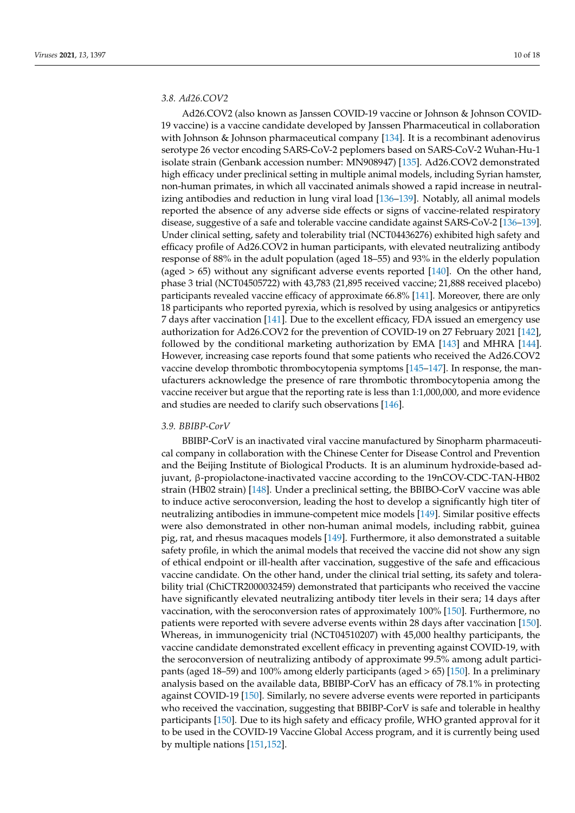# *3.8. Ad26.COV2*

Ad26.COV2 (also known as Janssen COVID-19 vaccine or Johnson & Johnson COVID-19 vaccine) is a vaccine candidate developed by Janssen Pharmaceutical in collaboration with Johnson & Johnson pharmaceutical company  $[134]$ . It is a recombinant adenovirus serotype 26 vector encoding SARS-CoV-2 peplomers based on SARS-CoV-2 Wuhan-Hu-1 isolate strain (Genbank accession number: MN908947) [\[135\]](#page-16-12). Ad26.COV2 demonstrated high efficacy under preclinical setting in multiple animal models, including Syrian hamster, non-human primates, in which all vaccinated animals showed a rapid increase in neutralizing antibodies and reduction in lung viral load [\[136–](#page-16-13)[139\]](#page-16-14). Notably, all animal models reported the absence of any adverse side effects or signs of vaccine-related respiratory disease, suggestive of a safe and tolerable vaccine candidate against SARS-CoV-2 [\[136](#page-16-13)[–139\]](#page-16-14). Under clinical setting, safety and tolerability trial (NCT04436276) exhibited high safety and efficacy profile of Ad26.COV2 in human participants, with elevated neutralizing antibody response of 88% in the adult population (aged 18–55) and 93% in the elderly population (aged  $> 65$ ) without any significant adverse events reported [\[140\]](#page-16-15). On the other hand, phase 3 trial (NCT04505722) with 43,783 (21,895 received vaccine; 21,888 received placebo) participants revealed vaccine efficacy of approximate 66.8% [\[141\]](#page-16-16). Moreover, there are only 18 participants who reported pyrexia, which is resolved by using analgesics or antipyretics 7 days after vaccination [\[141\]](#page-16-16). Due to the excellent efficacy, FDA issued an emergency use authorization for Ad26.COV2 for the prevention of COVID-19 on 27 February 2021 [\[142\]](#page-16-17), followed by the conditional marketing authorization by EMA [\[143\]](#page-16-18) and MHRA [\[144\]](#page-16-19). However, increasing case reports found that some patients who received the Ad26.COV2 vaccine develop thrombotic thrombocytopenia symptoms [\[145–](#page-16-20)[147\]](#page-17-0). In response, the manufacturers acknowledge the presence of rare thrombotic thrombocytopenia among the vaccine receiver but argue that the reporting rate is less than 1:1,000,000, and more evidence and studies are needed to clarify such observations [\[146\]](#page-17-1).

#### *3.9. BBIBP-CorV*

BBIBP-CorV is an inactivated viral vaccine manufactured by Sinopharm pharmaceutical company in collaboration with the Chinese Center for Disease Control and Prevention and the Beijing Institute of Biological Products. It is an aluminum hydroxide-based adjuvant, β-propiolactone-inactivated vaccine according to the 19nCOV-CDC-TAN-HB02 strain (HB02 strain) [\[148\]](#page-17-2). Under a preclinical setting, the BBIBO-CorV vaccine was able to induce active seroconversion, leading the host to develop a significantly high titer of neutralizing antibodies in immune-competent mice models [\[149\]](#page-17-3). Similar positive effects were also demonstrated in other non-human animal models, including rabbit, guinea pig, rat, and rhesus macaques models [\[149\]](#page-17-3). Furthermore, it also demonstrated a suitable safety profile, in which the animal models that received the vaccine did not show any sign of ethical endpoint or ill-health after vaccination, suggestive of the safe and efficacious vaccine candidate. On the other hand, under the clinical trial setting, its safety and tolerability trial (ChiCTR2000032459) demonstrated that participants who received the vaccine have significantly elevated neutralizing antibody titer levels in their sera; 14 days after vaccination, with the seroconversion rates of approximately 100% [\[150\]](#page-17-4). Furthermore, no patients were reported with severe adverse events within 28 days after vaccination [\[150\]](#page-17-4). Whereas, in immunogenicity trial (NCT04510207) with 45,000 healthy participants, the vaccine candidate demonstrated excellent efficacy in preventing against COVID-19, with the seroconversion of neutralizing antibody of approximate 99.5% among adult participants (aged 18–59) and 100% among elderly participants (aged > 65) [\[150\]](#page-17-4). In a preliminary analysis based on the available data, BBIBP-CorV has an efficacy of 78.1% in protecting against COVID-19 [\[150\]](#page-17-4). Similarly, no severe adverse events were reported in participants who received the vaccination, suggesting that BBIBP-CorV is safe and tolerable in healthy participants [\[150\]](#page-17-4). Due to its high safety and efficacy profile, WHO granted approval for it to be used in the COVID-19 Vaccine Global Access program, and it is currently being used by multiple nations [\[151](#page-17-5)[,152\]](#page-17-6).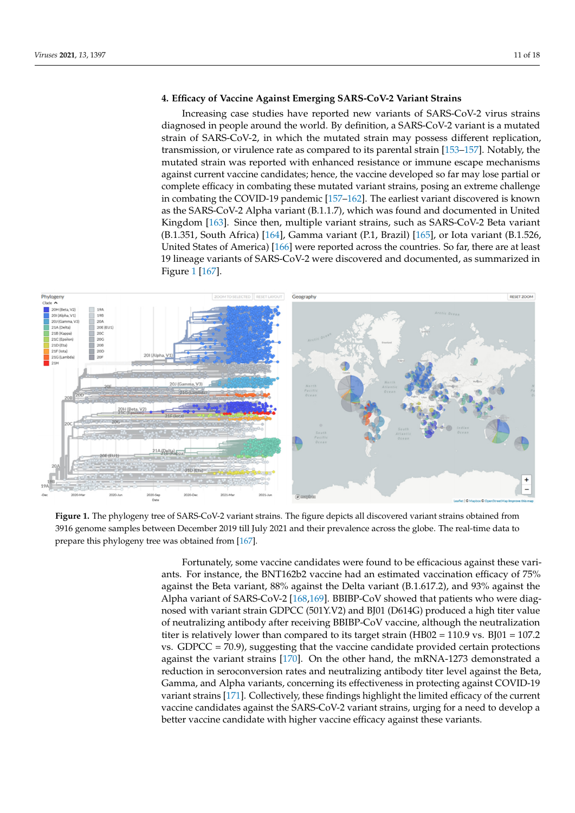# **4. Efficacy of Vaccine Against Emerging SARS-CoV-2 Variant Strains**

Increasing case studies have reported new variants of SARS-CoV-2 virus strains diagnosed in people around the world. By definition, a SARS-CoV-2 variant is a mutated strain of SARS-CoV-2, in which the mutated strain may possess different replication, transmission, or virulence rate as compared to its parental strain [\[153–](#page-17-7)[157\]](#page-17-8). Notably, the mutated strain was reported with enhanced resistance or immune escape mechanisms against current vaccine candidates; hence, the vaccine developed so far may lose partial or complete efficacy in combating these mutated variant strains, posing an extreme challenge in combating the COVID-19 pandemic [\[157–](#page-17-8)[162\]](#page-17-9). The earliest variant discovered is known as the SARS-CoV-2 Alpha variant (B.1.1.7), which was found and documented in United Kingdom [\[163\]](#page-17-10). Since then, multiple variant strains, such as SARS-CoV-2 Beta variant (B.1.351, South Africa) [\[164\]](#page-17-11), Gamma variant (P.1, Brazil) [\[165\]](#page-17-12), or Iota variant (B.1.526, United States of America) [\[166\]](#page-17-13) were reported across the countries. So far, there are at least 19 lineage variants of SARS-CoV-2 were discovered and documented, as summarized in Figure [1](#page-10-0) [\[167\]](#page-17-14).

<span id="page-10-0"></span>

Figure 1. The phylogeny tree of SARS-CoV-2 variant strains. The figure depicts all discovered variant strains obtained from 3916 genome samples between December 2019 till July 2021 and their prevalence across the globe. The real-time data to prepare this phylogeny tree was obtained from [\[167\]](#page-17-14).

Fortunately, some vaccine candidates were found to be efficacious against these variagainst the Beta variant, 88% against the Delta variant (B.1.617.2), and 93% against the Alpha variant of SARS-CoV-2 [\[168,](#page-17-15)[169\]](#page-17-16). BBIBP-CoV showed that patients who were diagnosed with variant strain GDPCC (501Y.V2) and BJ01 (D614G) produced a high titer value of neutralizing antibody after receiving BBIBP-CoV vaccine, although the neutralization titer is relatively lower than compared to its target strain (HB02 =  $10.9$  vs. BJ01 = 107.2 vs. GDPCC =  $70.9$ ), suggesting that the vaccine candidate provided certain protections against the variant strains [\[170\]](#page-17-17). On the other hand, the mRNA-1273 demonstrated a reduction in seroconversion rates and neutralizing antibody titer level against the Beta, Gamma, and Alpha variants, concerning its effectiveness in protecting against COVID-19 variant strains [\[171\]](#page-17-18). Collectively, these findings highlight the limited efficacy of the current vaccine candidates against the SARS-CoV-2 variant strains, urging for a need to develop a ants. For instance, the BNT162b2 vaccine had an estimated vaccination efficacy of 75% better vaccine candidate with higher vaccine efficacy against these variants.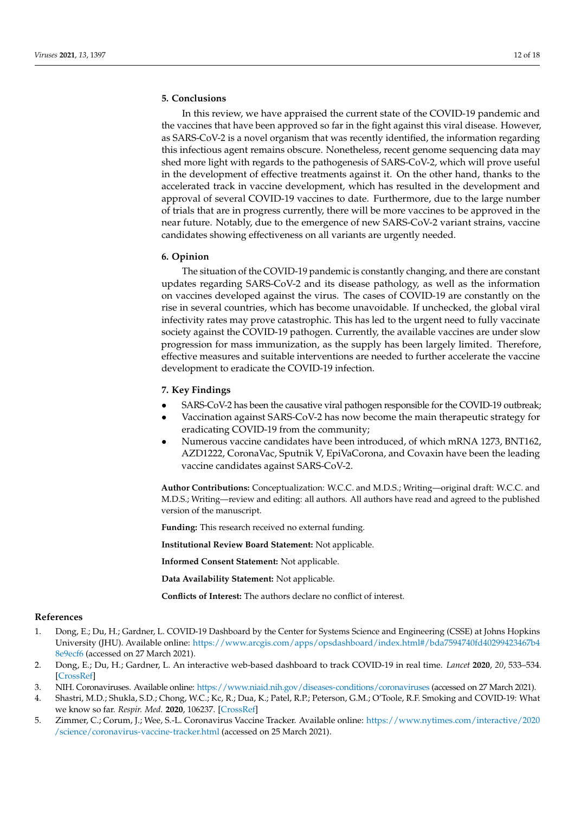# **5. Conclusions**

In this review, we have appraised the current state of the COVID-19 pandemic and the vaccines that have been approved so far in the fight against this viral disease. However, as SARS-CoV-2 is a novel organism that was recently identified, the information regarding this infectious agent remains obscure. Nonetheless, recent genome sequencing data may shed more light with regards to the pathogenesis of SARS-CoV-2, which will prove useful in the development of effective treatments against it. On the other hand, thanks to the accelerated track in vaccine development, which has resulted in the development and approval of several COVID-19 vaccines to date. Furthermore, due to the large number of trials that are in progress currently, there will be more vaccines to be approved in the near future. Notably, due to the emergence of new SARS-CoV-2 variant strains, vaccine candidates showing effectiveness on all variants are urgently needed.

## **6. Opinion**

The situation of the COVID-19 pandemic is constantly changing, and there are constant updates regarding SARS-CoV-2 and its disease pathology, as well as the information on vaccines developed against the virus. The cases of COVID-19 are constantly on the rise in several countries, which has become unavoidable. If unchecked, the global viral infectivity rates may prove catastrophic. This has led to the urgent need to fully vaccinate society against the COVID-19 pathogen. Currently, the available vaccines are under slow progression for mass immunization, as the supply has been largely limited. Therefore, effective measures and suitable interventions are needed to further accelerate the vaccine development to eradicate the COVID-19 infection.

## **7. Key Findings**

- SARS-CoV-2 has been the causative viral pathogen responsible for the COVID-19 outbreak;
- Vaccination against SARS-CoV-2 has now become the main therapeutic strategy for eradicating COVID-19 from the community;
- Numerous vaccine candidates have been introduced, of which mRNA 1273, BNT162, AZD1222, CoronaVac, Sputnik V, EpiVaCorona, and Covaxin have been the leading vaccine candidates against SARS-CoV-2.

**Author Contributions:** Conceptualization: W.C.C. and M.D.S.; Writing—original draft: W.C.C. and M.D.S.; Writing—review and editing: all authors. All authors have read and agreed to the published version of the manuscript.

**Funding:** This research received no external funding.

**Institutional Review Board Statement:** Not applicable.

**Informed Consent Statement:** Not applicable.

**Data Availability Statement:** Not applicable.

**Conflicts of Interest:** The authors declare no conflict of interest.

# **References**

- <span id="page-11-0"></span>1. Dong, E.; Du, H.; Gardner, L. COVID-19 Dashboard by the Center for Systems Science and Engineering (CSSE) at Johns Hopkins University (JHU). Available online: [https://www.arcgis.com/apps/opsdashboard/index.html#/bda7594740fd40299423467b4](https://www.arcgis.com/apps/opsdashboard/index.html#/bda7594740fd40299423467b48e9ecf6) [8e9ecf6](https://www.arcgis.com/apps/opsdashboard/index.html#/bda7594740fd40299423467b48e9ecf6) (accessed on 27 March 2021).
- <span id="page-11-1"></span>2. Dong, E.; Du, H.; Gardner, L. An interactive web-based dashboard to track COVID-19 in real time. *Lancet* **2020**, *20*, 533–534. [\[CrossRef\]](http://doi.org/10.1016/S1473-3099(20)30120-1)
- <span id="page-11-2"></span>3. NIH. Coronaviruses. Available online: <https://www.niaid.nih.gov/diseases-conditions/coronaviruses> (accessed on 27 March 2021).
- <span id="page-11-3"></span>4. Shastri, M.D.; Shukla, S.D.; Chong, W.C.; Kc, R.; Dua, K.; Patel, R.P.; Peterson, G.M.; O'Toole, R.F. Smoking and COVID-19: What we know so far. *Respir. Med.* **2020**, 106237. [\[CrossRef\]](http://doi.org/10.1016/j.rmed.2020.106237)
- <span id="page-11-4"></span>5. Zimmer, C.; Corum, J.; Wee, S.-L. Coronavirus Vaccine Tracker. Available online: [https://www.nytimes.com/interactive/2020](https://www.nytimes.com/interactive/2020/science/coronavirus-vaccine-tracker.html) [/science/coronavirus-vaccine-tracker.html](https://www.nytimes.com/interactive/2020/science/coronavirus-vaccine-tracker.html) (accessed on 25 March 2021).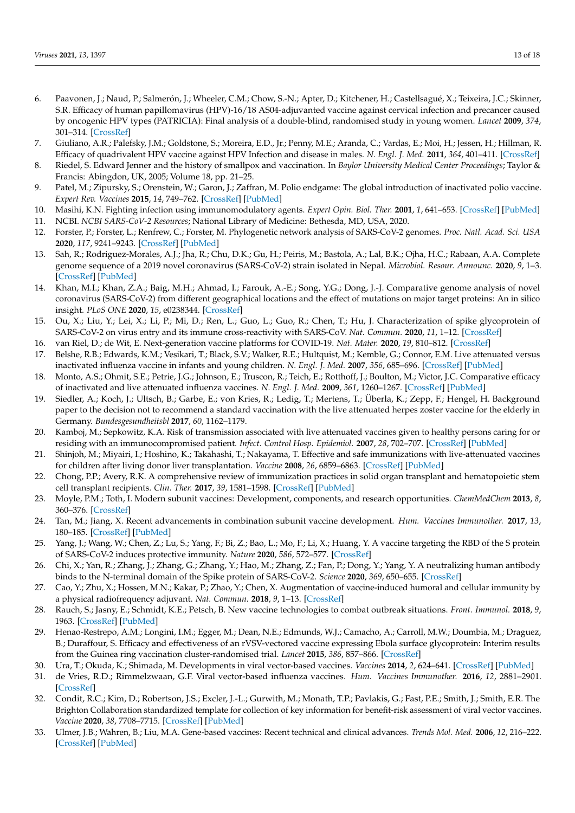- <span id="page-12-0"></span>6. Paavonen, J.; Naud, P.; Salmerón, J.; Wheeler, C.M.; Chow, S.-N.; Apter, D.; Kitchener, H.; Castellsagué, X.; Teixeira, J.C.; Skinner, S.R. Efficacy of human papillomavirus (HPV)-16/18 AS04-adjuvanted vaccine against cervical infection and precancer caused by oncogenic HPV types (PATRICIA): Final analysis of a double-blind, randomised study in young women. *Lancet* **2009**, *374*, 301–314. [\[CrossRef\]](http://doi.org/10.1016/S0140-6736(09)61248-4)
- 7. Giuliano, A.R.; Palefsky, J.M.; Goldstone, S.; Moreira, E.D., Jr.; Penny, M.E.; Aranda, C.; Vardas, E.; Moi, H.; Jessen, H.; Hillman, R. Efficacy of quadrivalent HPV vaccine against HPV Infection and disease in males. *N. Engl. J. Med.* **2011**, *364*, 401–411. [\[CrossRef\]](http://doi.org/10.1056/NEJMoa0909537)
- 8. Riedel, S. Edward Jenner and the history of smallpox and vaccination. In *Baylor University Medical Center Proceedings*; Taylor & Francis: Abingdon, UK, 2005; Volume 18, pp. 21–25.
- <span id="page-12-1"></span>9. Patel, M.; Zipursky, S.; Orenstein, W.; Garon, J.; Zaffran, M. Polio endgame: The global introduction of inactivated polio vaccine. *Expert Rev. Vaccines* **2015**, *14*, 749–762. [\[CrossRef\]](http://doi.org/10.1586/14760584.2015.1001750) [\[PubMed\]](http://www.ncbi.nlm.nih.gov/pubmed/25597843)
- <span id="page-12-2"></span>10. Masihi, K.N. Fighting infection using immunomodulatory agents. *Expert Opin. Biol. Ther.* **2001**, *1*, 641–653. [\[CrossRef\]](http://doi.org/10.1517/14712598.1.4.641) [\[PubMed\]](http://www.ncbi.nlm.nih.gov/pubmed/11727500)
- <span id="page-12-3"></span>11. NCBI. *NCBI SARS-CoV-2 Resources*; National Library of Medicine: Bethesda, MD, USA, 2020.
- 12. Forster, P.; Forster, L.; Renfrew, C.; Forster, M. Phylogenetic network analysis of SARS-CoV-2 genomes. *Proc. Natl. Acad. Sci. USA* **2020**, *117*, 9241–9243. [\[CrossRef\]](http://doi.org/10.1073/pnas.2004999117) [\[PubMed\]](http://www.ncbi.nlm.nih.gov/pubmed/32269081)
- 13. Sah, R.; Rodriguez-Morales, A.J.; Jha, R.; Chu, D.K.; Gu, H.; Peiris, M.; Bastola, A.; Lal, B.K.; Ojha, H.C.; Rabaan, A.A. Complete genome sequence of a 2019 novel coronavirus (SARS-CoV-2) strain isolated in Nepal. *Microbiol. Resour. Announc.* **2020**, *9*, 1–3. [\[CrossRef\]](http://doi.org/10.1128/MRA.00169-20) [\[PubMed\]](http://www.ncbi.nlm.nih.gov/pubmed/32165386)
- <span id="page-12-4"></span>14. Khan, M.I.; Khan, Z.A.; Baig, M.H.; Ahmad, I.; Farouk, A.-E.; Song, Y.G.; Dong, J.-J. Comparative genome analysis of novel coronavirus (SARS-CoV-2) from different geographical locations and the effect of mutations on major target proteins: An in silico insight. *PLoS ONE* **2020**, *15*, e0238344. [\[CrossRef\]](http://doi.org/10.1371/journal.pone.0238344)
- <span id="page-12-5"></span>15. Ou, X.; Liu, Y.; Lei, X.; Li, P.; Mi, D.; Ren, L.; Guo, L.; Guo, R.; Chen, T.; Hu, J. Characterization of spike glycoprotein of SARS-CoV-2 on virus entry and its immune cross-reactivity with SARS-CoV. *Nat. Commun.* **2020**, *11*, 1–12. [\[CrossRef\]](http://doi.org/10.1038/s41467-020-15562-9)
- <span id="page-12-6"></span>16. van Riel, D.; de Wit, E. Next-generation vaccine platforms for COVID-19. *Nat. Mater.* **2020**, *19*, 810–812. [\[CrossRef\]](http://doi.org/10.1038/s41563-020-0746-0)
- <span id="page-12-7"></span>17. Belshe, R.B.; Edwards, K.M.; Vesikari, T.; Black, S.V.; Walker, R.E.; Hultquist, M.; Kemble, G.; Connor, E.M. Live attenuated versus inactivated influenza vaccine in infants and young children. *N. Engl. J. Med.* **2007**, *356*, 685–696. [\[CrossRef\]](http://doi.org/10.1056/NEJMoa065368) [\[PubMed\]](http://www.ncbi.nlm.nih.gov/pubmed/17301299)
- <span id="page-12-8"></span>18. Monto, A.S.; Ohmit, S.E.; Petrie, J.G.; Johnson, E.; Truscon, R.; Teich, E.; Rotthoff, J.; Boulton, M.; Victor, J.C. Comparative efficacy of inactivated and live attenuated influenza vaccines. *N. Engl. J. Med.* **2009**, *361*, 1260–1267. [\[CrossRef\]](http://doi.org/10.1056/NEJMoa0808652) [\[PubMed\]](http://www.ncbi.nlm.nih.gov/pubmed/19776407)
- <span id="page-12-9"></span>19. Siedler, A.; Koch, J.; Ultsch, B.; Garbe, E.; von Kries, R.; Ledig, T.; Mertens, T.; Überla, K.; Zepp, F.; Hengel, H. Background paper to the decision not to recommend a standard vaccination with the live attenuated herpes zoster vaccine for the elderly in Germany. *Bundesgesundheitsbl* **2017**, *60*, 1162–1179.
- 20. Kamboj, M.; Sepkowitz, K.A. Risk of transmission associated with live attenuated vaccines given to healthy persons caring for or residing with an immunocompromised patient. *Infect. Control Hosp. Epidemiol.* **2007**, *28*, 702–707. [\[CrossRef\]](http://doi.org/10.1086/517952) [\[PubMed\]](http://www.ncbi.nlm.nih.gov/pubmed/17520544)
- 21. Shinjoh, M.; Miyairi, I.; Hoshino, K.; Takahashi, T.; Nakayama, T. Effective and safe immunizations with live-attenuated vaccines for children after living donor liver transplantation. *Vaccine* **2008**, *26*, 6859–6863. [\[CrossRef\]](http://doi.org/10.1016/j.vaccine.2008.09.076) [\[PubMed\]](http://www.ncbi.nlm.nih.gov/pubmed/18930096)
- <span id="page-12-10"></span>22. Chong, P.P.; Avery, R.K. A comprehensive review of immunization practices in solid organ transplant and hematopoietic stem cell transplant recipients. *Clin. Ther.* **2017**, *39*, 1581–1598. [\[CrossRef\]](http://doi.org/10.1016/j.clinthera.2017.07.005) [\[PubMed\]](http://www.ncbi.nlm.nih.gov/pubmed/28751095)
- <span id="page-12-11"></span>23. Moyle, P.M.; Toth, I. Modern subunit vaccines: Development, components, and research opportunities. *ChemMedChem* **2013**, *8*, 360–376. [\[CrossRef\]](http://doi.org/10.1002/cmdc.201200487)
- <span id="page-12-12"></span>24. Tan, M.; Jiang, X. Recent advancements in combination subunit vaccine development. *Hum. Vaccines Immunother.* **2017**, *13*, 180–185. [\[CrossRef\]](http://doi.org/10.1080/21645515.2016.1229719) [\[PubMed\]](http://www.ncbi.nlm.nih.gov/pubmed/27649319)
- <span id="page-12-13"></span>25. Yang, J.; Wang, W.; Chen, Z.; Lu, S.; Yang, F.; Bi, Z.; Bao, L.; Mo, F.; Li, X.; Huang, Y. A vaccine targeting the RBD of the S protein of SARS-CoV-2 induces protective immunity. *Nature* **2020**, *586*, 572–577. [\[CrossRef\]](http://doi.org/10.1038/s41586-020-2599-8)
- <span id="page-12-14"></span>26. Chi, X.; Yan, R.; Zhang, J.; Zhang, G.; Zhang, Y.; Hao, M.; Zhang, Z.; Fan, P.; Dong, Y.; Yang, Y. A neutralizing human antibody binds to the N-terminal domain of the Spike protein of SARS-CoV-2. *Science* **2020**, *369*, 650–655. [\[CrossRef\]](http://doi.org/10.1126/science.abc6952)
- <span id="page-12-15"></span>27. Cao, Y.; Zhu, X.; Hossen, M.N.; Kakar, P.; Zhao, Y.; Chen, X. Augmentation of vaccine-induced humoral and cellular immunity by a physical radiofrequency adjuvant. *Nat. Commun.* **2018**, *9*, 1–13. [\[CrossRef\]](http://doi.org/10.1038/s41467-018-06151-y)
- <span id="page-12-16"></span>28. Rauch, S.; Jasny, E.; Schmidt, K.E.; Petsch, B. New vaccine technologies to combat outbreak situations. *Front. Immunol.* **2018**, *9*, 1963. [\[CrossRef\]](http://doi.org/10.3389/fimmu.2018.01963) [\[PubMed\]](http://www.ncbi.nlm.nih.gov/pubmed/30283434)
- <span id="page-12-17"></span>29. Henao-Restrepo, A.M.; Longini, I.M.; Egger, M.; Dean, N.E.; Edmunds, W.J.; Camacho, A.; Carroll, M.W.; Doumbia, M.; Draguez, B.; Duraffour, S. Efficacy and effectiveness of an rVSV-vectored vaccine expressing Ebola surface glycoprotein: Interim results from the Guinea ring vaccination cluster-randomised trial. *Lancet* **2015**, *386*, 857–866. [\[CrossRef\]](http://doi.org/10.1016/S0140-6736(15)61117-5)
- <span id="page-12-20"></span>30. Ura, T.; Okuda, K.; Shimada, M. Developments in viral vector-based vaccines. *Vaccines* **2014**, *2*, 624–641. [\[CrossRef\]](http://doi.org/10.3390/vaccines2030624) [\[PubMed\]](http://www.ncbi.nlm.nih.gov/pubmed/26344749)
- <span id="page-12-18"></span>31. de Vries, R.D.; Rimmelzwaan, G.F. Viral vector-based influenza vaccines. *Hum. Vaccines Immunother.* **2016**, *12*, 2881–2901. [\[CrossRef\]](http://doi.org/10.1080/21645515.2016.1210729)
- <span id="page-12-19"></span>32. Condit, R.C.; Kim, D.; Robertson, J.S.; Excler, J.-L.; Gurwith, M.; Monath, T.P.; Pavlakis, G.; Fast, P.E.; Smith, J.; Smith, E.R. The Brighton Collaboration standardized template for collection of key information for benefit-risk assessment of viral vector vaccines. *Vaccine* **2020**, *38*, 7708–7715. [\[CrossRef\]](http://doi.org/10.1016/j.vaccine.2020.08.009) [\[PubMed\]](http://www.ncbi.nlm.nih.gov/pubmed/32907759)
- <span id="page-12-21"></span>33. Ulmer, J.B.; Wahren, B.; Liu, M.A. Gene-based vaccines: Recent technical and clinical advances. *Trends Mol. Med.* **2006**, *12*, 216–222. [\[CrossRef\]](http://doi.org/10.1016/j.molmed.2006.03.007) [\[PubMed\]](http://www.ncbi.nlm.nih.gov/pubmed/16621717)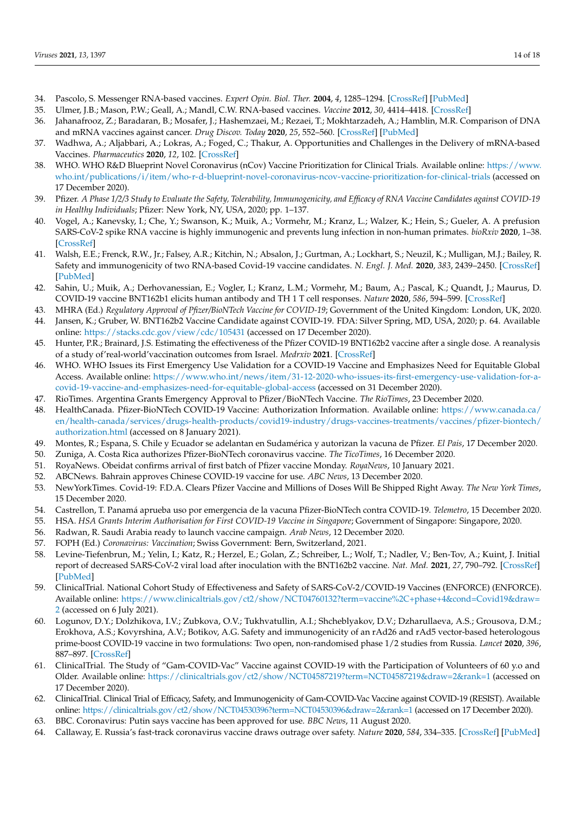- <span id="page-13-0"></span>34. Pascolo, S. Messenger RNA-based vaccines. *Expert Opin. Biol. Ther.* **2004**, *4*, 1285–1294. [\[CrossRef\]](http://doi.org/10.1517/14712598.4.8.1285) [\[PubMed\]](http://www.ncbi.nlm.nih.gov/pubmed/15268662)
- <span id="page-13-1"></span>35. Ulmer, J.B.; Mason, P.W.; Geall, A.; Mandl, C.W. RNA-based vaccines. *Vaccine* **2012**, *30*, 4414–4418. [\[CrossRef\]](http://doi.org/10.1016/j.vaccine.2012.04.060)
- <span id="page-13-3"></span>36. Jahanafrooz, Z.; Baradaran, B.; Mosafer, J.; Hashemzaei, M.; Rezaei, T.; Mokhtarzadeh, A.; Hamblin, M.R. Comparison of DNA and mRNA vaccines against cancer. *Drug Discov. Today* **2020**, *25*, 552–560. [\[CrossRef\]](http://doi.org/10.1016/j.drudis.2019.12.003) [\[PubMed\]](http://www.ncbi.nlm.nih.gov/pubmed/31843577)
- <span id="page-13-2"></span>37. Wadhwa, A.; Aljabbari, A.; Lokras, A.; Foged, C.; Thakur, A. Opportunities and Challenges in the Delivery of mRNA-based Vaccines. *Pharmaceutics* **2020**, *12*, 102. [\[CrossRef\]](http://doi.org/10.3390/pharmaceutics12020102)
- <span id="page-13-4"></span>38. WHO. WHO R&D Blueprint Novel Coronavirus (nCov) Vaccine Prioritization for Clinical Trials. Available online: [https://www.](https://www.who.int/publications/i/item/who-r-d-blueprint-novel-coronavirus-ncov-vaccine-prioritization-for-clinical-trials) [who.int/publications/i/item/who-r-d-blueprint-novel-coronavirus-ncov-vaccine-prioritization-for-clinical-trials](https://www.who.int/publications/i/item/who-r-d-blueprint-novel-coronavirus-ncov-vaccine-prioritization-for-clinical-trials) (accessed on 17 December 2020).
- <span id="page-13-5"></span>39. Pfizer. *A Phase 1/2/3 Study to Evaluate the Safety, Tolerability, Immunogenicity, and Efficacy of RNA Vaccine Candidates against COVID-19 in Healthy Individuals*; Pfizer: New York, NY, USA, 2020; pp. 1–137.
- <span id="page-13-6"></span>40. Vogel, A.; Kanevsky, I.; Che, Y.; Swanson, K.; Muik, A.; Vormehr, M.; Kranz, L.; Walzer, K.; Hein, S.; Gueler, A. A prefusion SARS-CoV-2 spike RNA vaccine is highly immunogenic and prevents lung infection in non-human primates. *bioRxiv* **2020**, 1–38. [\[CrossRef\]](http://doi.org/10.1101/2020.09.08.280818)
- <span id="page-13-7"></span>41. Walsh, E.E.; Frenck, R.W., Jr.; Falsey, A.R.; Kitchin, N.; Absalon, J.; Gurtman, A.; Lockhart, S.; Neuzil, K.; Mulligan, M.J.; Bailey, R. Safety and immunogenicity of two RNA-based Covid-19 vaccine candidates. *N. Engl. J. Med.* **2020**, *383*, 2439–2450. [\[CrossRef\]](http://doi.org/10.1056/NEJMoa2027906) [\[PubMed\]](http://www.ncbi.nlm.nih.gov/pubmed/33053279)
- <span id="page-13-8"></span>42. Sahin, U.; Muik, A.; Derhovanessian, E.; Vogler, I.; Kranz, L.M.; Vormehr, M.; Baum, A.; Pascal, K.; Quandt, J.; Maurus, D. COVID-19 vaccine BNT162b1 elicits human antibody and TH 1 T cell responses. *Nature* **2020**, *586*, 594–599. [\[CrossRef\]](http://doi.org/10.1038/s41586-020-2814-7)
- <span id="page-13-9"></span>43. MHRA (Ed.) *Regulatory Approval of Pfizer/BioNTech Vaccine for COVID-19*; Government of the United Kingdom: London, UK, 2020.
- <span id="page-13-10"></span>44. Jansen, K.; Gruber, W. BNT162b2 Vaccine Candidate against COVID-19. FDA: Silver Spring, MD, USA, 2020; p. 64. Available online: <https://stacks.cdc.gov/view/cdc/105431> (accessed on 17 December 2020).
- <span id="page-13-11"></span>45. Hunter, P.R.; Brainard, J.S. Estimating the effectiveness of the Pfizer COVID-19 BNT162b2 vaccine after a single dose. A reanalysis of a study of'real-world'vaccination outcomes from Israel. *Medrxiv* **2021**. [\[CrossRef\]](http://doi.org/10.1101/2021.02.01.21250957)
- <span id="page-13-12"></span>46. WHO. WHO Issues its First Emergency Use Validation for a COVID-19 Vaccine and Emphasizes Need for Equitable Global Access. Available online: [https://www.who.int/news/item/31-12-2020-who-issues-its-first-emergency-use-validation-for-a](https://www.who.int/news/item/31-12-2020-who-issues-its-first-emergency-use-validation-for-a-covid-19-vaccine-and-emphasizes-need-for-equitable-global-access)[covid-19-vaccine-and-emphasizes-need-for-equitable-global-access](https://www.who.int/news/item/31-12-2020-who-issues-its-first-emergency-use-validation-for-a-covid-19-vaccine-and-emphasizes-need-for-equitable-global-access) (accessed on 31 December 2020).
- <span id="page-13-13"></span>47. RioTimes. Argentina Grants Emergency Approval to Pfizer/BioNTech Vaccine. *The RioTimes*, 23 December 2020.
- 48. HealthCanada. Pfizer-BioNTech COVID-19 Vaccine: Authorization Information. Available online: [https://www.canada.ca/](https://www.canada.ca/en/health-canada/services/drugs-health-products/covid19-industry/drugs-vaccines-treatments/vaccines/pfizer-biontech/authorization.html) [en/health-canada/services/drugs-health-products/covid19-industry/drugs-vaccines-treatments/vaccines/pfizer-biontech/](https://www.canada.ca/en/health-canada/services/drugs-health-products/covid19-industry/drugs-vaccines-treatments/vaccines/pfizer-biontech/authorization.html) [authorization.html](https://www.canada.ca/en/health-canada/services/drugs-health-products/covid19-industry/drugs-vaccines-treatments/vaccines/pfizer-biontech/authorization.html) (accessed on 8 January 2021).
- 49. Montes, R.; Espana, S. Chile y Ecuador se adelantan en Sudamérica y autorizan la vacuna de Pfizer. *El Pais*, 17 December 2020.
- 50. Zuniga, A. Costa Rica authorizes Pfizer-BioNTech coronavirus vaccine. *The TicoTimes*, 16 December 2020.
- 51. RoyaNews. Obeidat confirms arrival of first batch of Pfizer vaccine Monday. *RoyaNews*, 10 January 2021.
- 52. ABCNews. Bahrain approves Chinese COVID-19 vaccine for use. *ABC News*, 13 December 2020.
- 53. NewYorkTimes. Covid-19: F.D.A. Clears Pfizer Vaccine and Millions of Doses Will Be Shipped Right Away. *The New York Times*, 15 December 2020.
- 54. Castrellon, T. Panamá aprueba uso por emergencia de la vacuna Pfizer-BioNTech contra COVID-19. *Telemetro*, 15 December 2020.
- 55. HSA. *HSA Grants Interim Authorisation for First COVID-19 Vaccine in Singapore*; Government of Singapore: Singapore, 2020.
- 56. Radwan, R. Saudi Arabia ready to launch vaccine campaign. *Arab News*, 12 December 2020.
- <span id="page-13-14"></span>57. FOPH (Ed.) *Coronavirus: Vaccination*; Swiss Government: Bern, Switzerland, 2021.
- <span id="page-13-15"></span>58. Levine-Tiefenbrun, M.; Yelin, I.; Katz, R.; Herzel, E.; Golan, Z.; Schreiber, L.; Wolf, T.; Nadler, V.; Ben-Tov, A.; Kuint, J. Initial report of decreased SARS-CoV-2 viral load after inoculation with the BNT162b2 vaccine. *Nat. Med.* **2021**, *27*, 790–792. [\[CrossRef\]](http://doi.org/10.1038/s41591-021-01316-7) [\[PubMed\]](http://www.ncbi.nlm.nih.gov/pubmed/33782619)
- <span id="page-13-16"></span>59. ClinicalTrial. National Cohort Study of Effectiveness and Safety of SARS-CoV-2/COVID-19 Vaccines (ENFORCE) (ENFORCE). Available online: [https://www.clinicaltrials.gov/ct2/show/NCT04760132?term=vaccine%2C+phase+4&cond=Covid19&draw=](https://www.clinicaltrials.gov/ct2/show/NCT04760132?term=vaccine%2C+phase+4&cond=Covid19&draw=2) [2](https://www.clinicaltrials.gov/ct2/show/NCT04760132?term=vaccine%2C+phase+4&cond=Covid19&draw=2) (accessed on 6 July 2021).
- <span id="page-13-17"></span>60. Logunov, D.Y.; Dolzhikova, I.V.; Zubkova, O.V.; Tukhvatullin, A.I.; Shcheblyakov, D.V.; Dzharullaeva, A.S.; Grousova, D.M.; Erokhova, A.S.; Kovyrshina, A.V.; Botikov, A.G. Safety and immunogenicity of an rAd26 and rAd5 vector-based heterologous prime-boost COVID-19 vaccine in two formulations: Two open, non-randomised phase 1/2 studies from Russia. *Lancet* **2020**, *396*, 887–897. [\[CrossRef\]](http://doi.org/10.1016/S0140-6736(20)31866-3)
- <span id="page-13-18"></span>61. ClinicalTrial. The Study of "Gam-COVID-Vac" Vaccine against COVID-19 with the Participation of Volunteers of 60 y.o and Older. Available online: <https://clinicaltrials.gov/ct2/show/NCT04587219?term=NCT04587219&draw=2&rank=1> (accessed on 17 December 2020).
- <span id="page-13-19"></span>62. ClinicalTrial. Clinical Trial of Efficacy, Safety, and Immunogenicity of Gam-COVID-Vac Vaccine against COVID-19 (RESIST). Available online: <https://clinicaltrials.gov/ct2/show/NCT04530396?term=NCT04530396&draw=2&rank=1> (accessed on 17 December 2020).
- <span id="page-13-20"></span>63. BBC. Coronavirus: Putin says vaccine has been approved for use. *BBC News*, 11 August 2020.
- <span id="page-13-21"></span>64. Callaway, E. Russia's fast-track coronavirus vaccine draws outrage over safety. *Nature* **2020**, *584*, 334–335. [\[CrossRef\]](http://doi.org/10.1038/d41586-020-02386-2) [\[PubMed\]](http://www.ncbi.nlm.nih.gov/pubmed/32782400)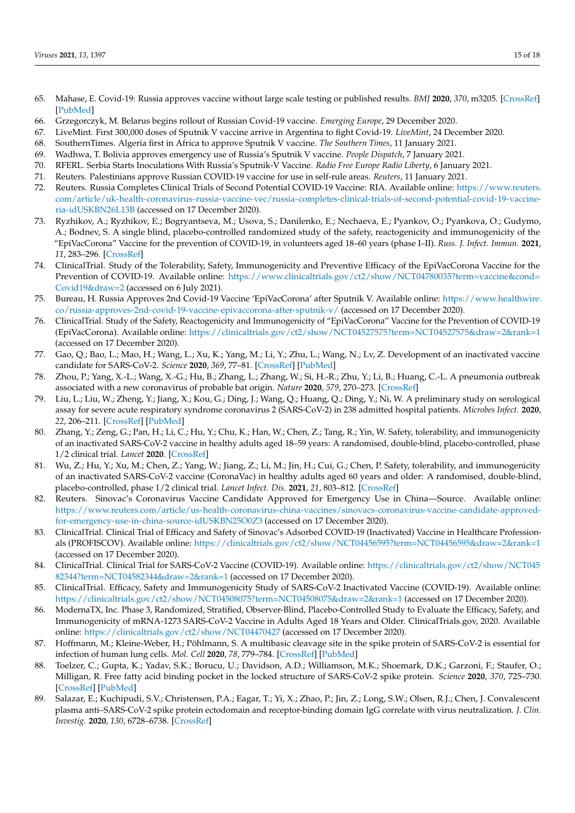- <span id="page-14-0"></span>65. Mahase, E. Covid-19: Russia approves vaccine without large scale testing or published results. *BMJ* **2020**, *370*, m3205. [\[CrossRef\]](http://doi.org/10.1136/bmj.m3205) [\[PubMed\]](http://www.ncbi.nlm.nih.gov/pubmed/32816758)
- <span id="page-14-1"></span>66. Grzegorczyk, M. Belarus begins rollout of Russian Covid-19 vaccine. *Emerging Europe*, 29 December 2020.
- 67. LiveMint. First 300,000 doses of Sputnik V vaccine arrive in Argentina to fight Covid-19. *LiveMint*, 24 December 2020.
- 68. SouthernTimes. Algeria first in Africa to approve Sputnik V vaccine. *The Southern Times*, 11 January 2021.
- 69. Wadhwa, T. Bolivia approves emergency use of Russia's Sputnik V vaccine. *People Dispatch*, 7 January 2021.
- 70. RFERL. Serbia Starts Inoculations With Russia's Sputnik-V Vaccine. *Radio Free Europe Radio Liberty*, 6 January 2021.
- <span id="page-14-2"></span>71. Reuters. Palestinians approve Russian COVID-19 vaccine for use in self-rule areas. *Reuters*, 11 January 2021.
- <span id="page-14-3"></span>72. Reuters. Russia Completes Clinical Trials of Second Potential COVID-19 Vaccine: RIA. Available online: [https://www.reuters.](https://www.reuters.com/article/uk-health-coronavirus-russia-vaccine-vec/russia-completes-clinical-trials-of-second-potential-covid-19-vaccine-ria-idUSKBN26L13B) [com/article/uk-health-coronavirus-russia-vaccine-vec/russia-completes-clinical-trials-of-second-potential-covid-19-vaccine](https://www.reuters.com/article/uk-health-coronavirus-russia-vaccine-vec/russia-completes-clinical-trials-of-second-potential-covid-19-vaccine-ria-idUSKBN26L13B)[ria-idUSKBN26L13B](https://www.reuters.com/article/uk-health-coronavirus-russia-vaccine-vec/russia-completes-clinical-trials-of-second-potential-covid-19-vaccine-ria-idUSKBN26L13B) (accessed on 17 December 2020).
- <span id="page-14-4"></span>73. Ryzhikov, A.; Ryzhikov, Е.; Bogryantseva, M.; Usova, S.; Danilenko, E.; Nechaeva, E.; Pyankov, O.; Pyankova, O.; Gudymo, A.; Bodnev, S. A single blind, placebo-controlled randomized study of the safety, reactogenicity and immunogenicity of the "EpiVacCorona" Vaccine for the prevention of COVID-19, in volunteers aged 18–60 years (phase I–II). *Russ. J. Infect. Immun.* **2021**, *11*, 283–296. [\[CrossRef\]](http://doi.org/10.15789/2220-7619-ASB-1699)
- <span id="page-14-5"></span>74. ClinicalTrial. Study of the Tolerability, Safety, Immunogenicity and Preventive Efficacy of the EpiVacCorona Vaccine for the Prevention of COVID-19. Available online: [https://www.clinicaltrials.gov/ct2/show/NCT04780035?term=vaccine&cond=](https://www.clinicaltrials.gov/ct2/show/NCT04780035?term=vaccine&cond=Covid19&draw=2) [Covid19&draw=2](https://www.clinicaltrials.gov/ct2/show/NCT04780035?term=vaccine&cond=Covid19&draw=2) (accessed on 6 July 2021).
- <span id="page-14-6"></span>75. Bureau, H. Russia Approves 2nd Covid-19 Vaccine 'EpiVacCorona' after Sputnik V. Available online: [https://www.healthwire.](https://www.healthwire.co/russia-approves-2nd-covid-19-vaccine-epivaccorona-after-sputnik-v/) [co/russia-approves-2nd-covid-19-vaccine-epivaccorona-after-sputnik-v/](https://www.healthwire.co/russia-approves-2nd-covid-19-vaccine-epivaccorona-after-sputnik-v/) (accessed on 17 December 2020).
- <span id="page-14-7"></span>76. ClinicalTrial. Study of the Safety, Reactogenicity and Immunogenicity of "EpiVacCorona" Vaccine for the Prevention of COVID-19 (EpiVacCorona). Available online: <https://clinicaltrials.gov/ct2/show/NCT04527575?term=NCT04527575&draw=2&rank=1> (accessed on 17 December 2020).
- <span id="page-14-8"></span>77. Gao, Q.; Bao, L.; Mao, H.; Wang, L.; Xu, K.; Yang, M.; Li, Y.; Zhu, L.; Wang, N.; Lv, Z. Development of an inactivated vaccine candidate for SARS-CoV-2. *Science* **2020**, *369*, 77–81. [\[CrossRef\]](http://doi.org/10.1126/science.abc1932) [\[PubMed\]](http://www.ncbi.nlm.nih.gov/pubmed/32376603)
- 78. Zhou, P.; Yang, X.-L.; Wang, X.-G.; Hu, B.; Zhang, L.; Zhang, W.; Si, H.-R.; Zhu, Y.; Li, B.; Huang, C.-L. A pneumonia outbreak associated with a new coronavirus of probable bat origin. *Nature* **2020**, *579*, 270–273. [\[CrossRef\]](http://doi.org/10.1038/s41586-020-2012-7)
- <span id="page-14-9"></span>79. Liu, L.; Liu, W.; Zheng, Y.; Jiang, X.; Kou, G.; Ding, J.; Wang, Q.; Huang, Q.; Ding, Y.; Ni, W. A preliminary study on serological assay for severe acute respiratory syndrome coronavirus 2 (SARS-CoV-2) in 238 admitted hospital patients. *Microbes Infect.* **2020**, *22*, 206–211. [\[CrossRef\]](http://doi.org/10.1016/j.micinf.2020.05.008) [\[PubMed\]](http://www.ncbi.nlm.nih.gov/pubmed/32425648)
- <span id="page-14-10"></span>80. Zhang, Y.; Zeng, G.; Pan, H.; Li, C.; Hu, Y.; Chu, K.; Han, W.; Chen, Z.; Tang, R.; Yin, W. Safety, tolerability, and immunogenicity of an inactivated SARS-CoV-2 vaccine in healthy adults aged 18–59 years: A randomised, double-blind, placebo-controlled, phase 1/2 clinical trial. *Lancet* **2020**. [\[CrossRef\]](http://doi.org/10.1016/S1473-3099(20)30843-4)
- <span id="page-14-11"></span>81. Wu, Z.; Hu, Y.; Xu, M.; Chen, Z.; Yang, W.; Jiang, Z.; Li, M.; Jin, H.; Cui, G.; Chen, P. Safety, tolerability, and immunogenicity of an inactivated SARS-CoV-2 vaccine (CoronaVac) in healthy adults aged 60 years and older: A randomised, double-blind, placebo-controlled, phase 1/2 clinical trial. *Lancet Infect. Dis.* **2021**, *21*, 803–812. [\[CrossRef\]](http://doi.org/10.1016/S1473-3099(20)30987-7)
- <span id="page-14-12"></span>82. Reuters. Sinovac's Coronavirus Vaccine Candidate Approved for Emergency Use in China—Source. Available online: [https://www.reuters.com/article/us-health-coronavirus-china-vaccines/sinovacs-coronavirus-vaccine-candidate-approved](https://www.reuters.com/article/us-health-coronavirus-china-vaccines/sinovacs-coronavirus-vaccine-candidate-approved-for-emergency-use-in-china-source-idUSKBN25O0Z3)[for-emergency-use-in-china-source-idUSKBN25O0Z3](https://www.reuters.com/article/us-health-coronavirus-china-vaccines/sinovacs-coronavirus-vaccine-candidate-approved-for-emergency-use-in-china-source-idUSKBN25O0Z3) (accessed on 17 December 2020).
- <span id="page-14-13"></span>83. ClinicalTrial. Clinical Trial of Efficacy and Safety of Sinovac's Adsorbed COVID-19 (Inactivated) Vaccine in Healthcare Professionals (PROFISCOV). Available online: <https://clinicaltrials.gov/ct2/show/NCT04456595?term=NCT04456595&draw=2&rank=1> (accessed on 17 December 2020).
- 84. ClinicalTrial. Clinical Trial for SARS-CoV-2 Vaccine (COVID-19). Available online: [https://clinicaltrials.gov/ct2/show/NCT045](https://clinicaltrials.gov/ct2/show/NCT04582344?term=NCT04582344&draw=2&rank=1) [82344?term=NCT04582344&draw=2&rank=1](https://clinicaltrials.gov/ct2/show/NCT04582344?term=NCT04582344&draw=2&rank=1) (accessed on 17 December 2020).
- <span id="page-14-14"></span>85. ClinicalTrial. Efficacy, Safety and Immunogenicity Study of SARS-CoV-2 Inactivated Vaccine (COVID-19). Available online: <https://clinicaltrials.gov/ct2/show/NCT04508075?term=NCT04508075&draw=2&rank=1> (accessed on 17 December 2020).
- <span id="page-14-15"></span>86. ModernaTX, Inc. Phase 3, Randomized, Stratified, Observer-Blind, Placebo-Controlled Study to Evaluate the Efficacy, Safety, and Immunogenicity of mRNA-1273 SARS-CoV-2 Vaccine in Adults Aged 18 Years and Older. ClinicalTrials.gov, 2020. Available online: <https://clinicaltrials.gov/ct2/show/NCT04470427> (accessed on 17 December 2020).
- <span id="page-14-16"></span>87. Hoffmann, M.; Kleine-Weber, H.; Pöhlmann, S. A multibasic cleavage site in the spike protein of SARS-CoV-2 is essential for infection of human lung cells. *Mol. Cell* **2020**, *78*, 779–784. [\[CrossRef\]](http://doi.org/10.1016/j.molcel.2020.04.022) [\[PubMed\]](http://www.ncbi.nlm.nih.gov/pubmed/32362314)
- 88. Toelzer, C.; Gupta, K.; Yadav, S.K.; Borucu, U.; Davidson, A.D.; Williamson, M.K.; Shoemark, D.K.; Garzoni, F.; Staufer, O.; Milligan, R. Free fatty acid binding pocket in the locked structure of SARS-CoV-2 spike protein. *Science* **2020**, *370*, 725–730. [\[CrossRef\]](http://doi.org/10.1126/science.abd3255) [\[PubMed\]](http://www.ncbi.nlm.nih.gov/pubmed/32958580)
- 89. Salazar, E.; Kuchipudi, S.V.; Christensen, P.A.; Eagar, T.; Yi, X.; Zhao, P.; Jin, Z.; Long, S.W.; Olsen, R.J.; Chen, J. Convalescent plasma anti–SARS-CoV-2 spike protein ectodomain and receptor-binding domain IgG correlate with virus neutralization. *J. Clin. Investig.* **2020**, *130*, 6728–6738. [\[CrossRef\]](http://doi.org/10.1172/JCI141206)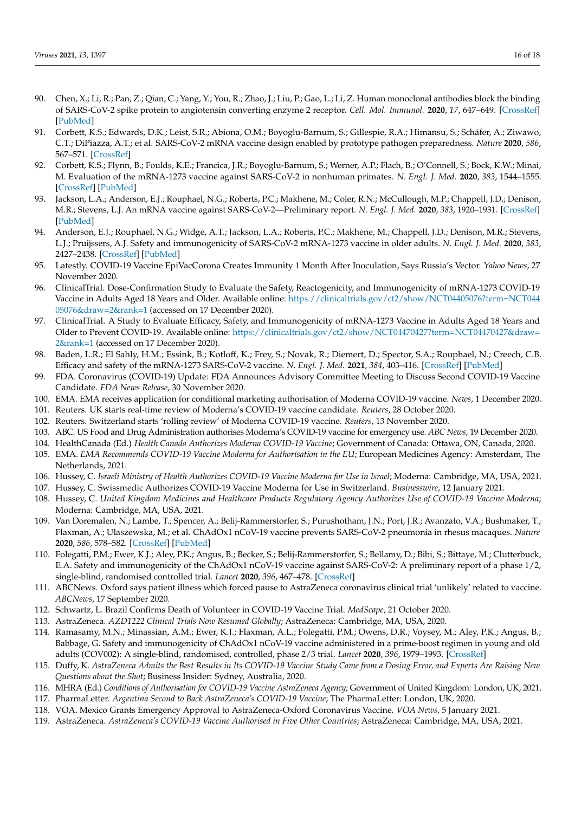- <span id="page-15-0"></span>90. Chen, X.; Li, R.; Pan, Z.; Qian, C.; Yang, Y.; You, R.; Zhao, J.; Liu, P.; Gao, L.; Li, Z. Human monoclonal antibodies block the binding of SARS-CoV-2 spike protein to angiotensin converting enzyme 2 receptor. *Cell. Mol. Immunol.* **2020**, *17*, 647–649. [\[CrossRef\]](http://doi.org/10.1038/s41423-020-0426-7) [\[PubMed\]](http://www.ncbi.nlm.nih.gov/pubmed/32313207)
- <span id="page-15-1"></span>91. Corbett, K.S.; Edwards, D.K.; Leist, S.R.; Abiona, O.M.; Boyoglu-Barnum, S.; Gillespie, R.A.; Himansu, S.; Schäfer, A.; Ziwawo, C.T.; DiPiazza, A.T.; et al. SARS-CoV-2 mRNA vaccine design enabled by prototype pathogen preparedness. *Nature* **2020**, *586*, 567–571. [\[CrossRef\]](http://doi.org/10.1038/s41586-020-2622-0)
- <span id="page-15-2"></span>92. Corbett, K.S.; Flynn, B.; Foulds, K.E.; Francica, J.R.; Boyoglu-Barnum, S.; Werner, A.P.; Flach, B.; O'Connell, S.; Bock, K.W.; Minai, M. Evaluation of the mRNA-1273 vaccine against SARS-CoV-2 in nonhuman primates. *N. Engl. J. Med.* **2020**, *383*, 1544–1555. [\[CrossRef\]](http://doi.org/10.1056/NEJMoa2024671) [\[PubMed\]](http://www.ncbi.nlm.nih.gov/pubmed/32722908)
- <span id="page-15-3"></span>93. Jackson, L.A.; Anderson, E.J.; Rouphael, N.G.; Roberts, P.C.; Makhene, M.; Coler, R.N.; McCullough, M.P.; Chappell, J.D.; Denison, M.R.; Stevens, L.J. An mRNA vaccine against SARS-CoV-2—Preliminary report. *N. Engl. J. Med.* **2020**, *383*, 1920–1931. [\[CrossRef\]](http://doi.org/10.1056/NEJMoa2022483) [\[PubMed\]](http://www.ncbi.nlm.nih.gov/pubmed/32663912)
- <span id="page-15-4"></span>94. Anderson, E.J.; Rouphael, N.G.; Widge, A.T.; Jackson, L.A.; Roberts, P.C.; Makhene, M.; Chappell, J.D.; Denison, M.R.; Stevens, L.J.; Pruijssers, A.J. Safety and immunogenicity of SARS-CoV-2 mRNA-1273 vaccine in older adults. *N. Engl. J. Med.* **2020**, *383*, 2427–2438. [\[CrossRef\]](http://doi.org/10.1056/NEJMoa2028436) [\[PubMed\]](http://www.ncbi.nlm.nih.gov/pubmed/32991794)
- <span id="page-15-5"></span>95. Latestly. COVID-19 Vaccine EpiVacCorona Creates Immunity 1 Month After Inoculation, Says Russia's Vector. *Yahoo News*, 27 November 2020.
- <span id="page-15-6"></span>96. ClinicalTrial. Dose-Confirmation Study to Evaluate the Safety, Reactogenicity, and Immunogenicity of mRNA-1273 COVID-19 Vaccine in Adults Aged 18 Years and Older. Available online: [https://clinicaltrials.gov/ct2/show/NCT04405076?term=NCT044](https://clinicaltrials.gov/ct2/show/NCT04405076?term=NCT04405076&draw=2&rank=1) [05076&draw=2&rank=1](https://clinicaltrials.gov/ct2/show/NCT04405076?term=NCT04405076&draw=2&rank=1) (accessed on 17 December 2020).
- 97. ClinicalTrial. A Study to Evaluate Efficacy, Safety, and Immunogenicity of mRNA-1273 Vaccine in Adults Aged 18 Years and Older to Prevent COVID-19. Available online: [https://clinicaltrials.gov/ct2/show/NCT04470427?term=NCT04470427&draw=](https://clinicaltrials.gov/ct2/show/NCT04470427?term=NCT04470427&draw=2&rank=1) [2&rank=1](https://clinicaltrials.gov/ct2/show/NCT04470427?term=NCT04470427&draw=2&rank=1) (accessed on 17 December 2020).
- <span id="page-15-7"></span>98. Baden, L.R.; El Sahly, H.M.; Essink, B.; Kotloff, K.; Frey, S.; Novak, R.; Diemert, D.; Spector, S.A.; Rouphael, N.; Creech, C.B. Efficacy and safety of the mRNA-1273 SARS-CoV-2 vaccine. *N. Engl. J. Med.* **2021**, *384*, 403–416. [\[CrossRef\]](http://doi.org/10.1056/NEJMoa2035389) [\[PubMed\]](http://www.ncbi.nlm.nih.gov/pubmed/33378609)
- <span id="page-15-8"></span>99. FDA. Coronavirus (COVID-19) Update: FDA Announces Advisory Committee Meeting to Discuss Second COVID-19 Vaccine Candidate. *FDA News Release*, 30 November 2020.
- <span id="page-15-9"></span>100. EMA. EMA receives application for conditional marketing authorisation of Moderna COVID-19 vaccine. *News*, 1 December 2020.
- <span id="page-15-10"></span>101. Reuters. UK starts real-time review of Moderna's COVID-19 vaccine candidate. *Reuters*, 28 October 2020.
- <span id="page-15-11"></span>102. Reuters. Switzerland starts 'rolling review' of Moderna COVID-19 vaccine. *Reuters*, 13 November 2020.
- <span id="page-15-12"></span>103. ABC. US Food and Drug Administration authorises Moderna's COVID-19 vaccine for emergency use. *ABC News*, 19 December 2020.
- <span id="page-15-13"></span>104. HealthCanada (Ed.) *Health Canada Authorizes Moderna COVID-19 Vaccine*; Government of Canada: Ottawa, ON, Canada, 2020.
- 105. EMA. *EMA Recommends COVID-19 Vaccine Moderna for Authorisation in the EU*; European Medicines Agency: Amsterdam, The Netherlands, 2021.
- 106. Hussey, C. *Israeli Ministry of Health Authorizes COVID-19 Vaccine Moderna for Use in Israel*; Moderna: Cambridge, MA, USA, 2021.
- 107. Hussey, C. Swissmedic Authorizes COVID-19 Vaccine Moderna for Use in Switzerland. *Businesswire*, 12 January 2021.
- <span id="page-15-14"></span>108. Hussey, C. *United Kingdom Medicines and Healthcare Products Regulatory Agency Authorizes Use of COVID-19 Vaccine Moderna*; Moderna: Cambridge, MA, USA, 2021.
- <span id="page-15-15"></span>109. Van Doremalen, N.; Lambe, T.; Spencer, A.; Belij-Rammerstorfer, S.; Purushotham, J.N.; Port, J.R.; Avanzato, V.A.; Bushmaker, T.; Flaxman, A.; Ulaszewska, M.; et al. ChAdOx1 nCoV-19 vaccine prevents SARS-CoV-2 pneumonia in rhesus macaques. *Nature* **2020**, *586*, 578–582. [\[CrossRef\]](http://doi.org/10.1038/s41586-020-2608-y) [\[PubMed\]](http://www.ncbi.nlm.nih.gov/pubmed/32731258)
- <span id="page-15-16"></span>110. Folegatti, P.M.; Ewer, K.J.; Aley, P.K.; Angus, B.; Becker, S.; Belij-Rammerstorfer, S.; Bellamy, D.; Bibi, S.; Bittaye, M.; Clutterbuck, E.A. Safety and immunogenicity of the ChAdOx1 nCoV-19 vaccine against SARS-CoV-2: A preliminary report of a phase 1/2, single-blind, randomised controlled trial. *Lancet* **2020**, *396*, 467–478. [\[CrossRef\]](http://doi.org/10.1016/S0140-6736(20)31604-4)
- <span id="page-15-17"></span>111. ABCNews. Oxford says patient illness which forced pause to AstraZeneca coronavirus clinical trial 'unlikely' related to vaccine. *ABCNews*, 17 September 2020.
- <span id="page-15-18"></span>112. Schwartz, L. Brazil Confirms Death of Volunteer in COVID-19 Vaccine Trial. *MedScape*, 21 October 2020.
- <span id="page-15-19"></span>113. AstraZeneca. *AZD1222 Clinical Trials Now Resumed Globally*; AstraZeneca: Cambridge, MA, USA, 2020.
- <span id="page-15-20"></span>114. Ramasamy, M.N.; Minassian, A.M.; Ewer, K.J.; Flaxman, A.L.; Folegatti, P.M.; Owens, D.R.; Voysey, M.; Aley, P.K.; Angus, B.; Babbage, G. Safety and immunogenicity of ChAdOx1 nCoV-19 vaccine administered in a prime-boost regimen in young and old adults (COV002): A single-blind, randomised, controlled, phase 2/3 trial. *Lancet* **2020**, *396*, 1979–1993. [\[CrossRef\]](http://doi.org/10.1016/S0140-6736(20)32466-1)
- <span id="page-15-21"></span>115. Duffy, K. *AstraZeneca Admits the Best Results in Its COVID-19 Vaccine Study Came from a Dosing Error, and Experts Are Raising New Questions about the Shot*; Business Insider: Sydney, Australia, 2020.
- <span id="page-15-22"></span>116. MHRA (Ed.) *Conditions of Authorisation for COVID-19 Vaccine AstraZeneca Agency*; Government of United Kingdom: London, UK, 2021.
- 117. PharmaLetter. *Argentina Second to Back AstraZeneca's COVID-19 Vaccine*; The PharmaLetter: London, UK, 2020.
- <span id="page-15-23"></span>118. VOA. Mexico Grants Emergency Approval to AstraZeneca-Oxford Coronavirus Vaccine. *VOA News*, 5 January 2021.
- <span id="page-15-24"></span>119. AstraZeneca. *AstraZeneca's COVID-19 Vaccine Authorised in Five Other Countries*; AstraZeneca: Cambridge, MA, USA, 2021.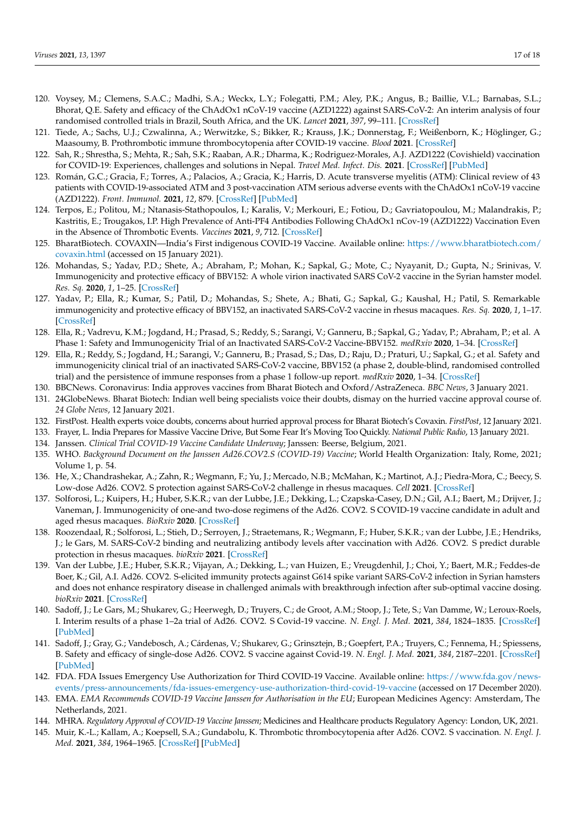- <span id="page-16-0"></span>120. Voysey, M.; Clemens, S.A.C.; Madhi, S.A.; Weckx, L.Y.; Folegatti, P.M.; Aley, P.K.; Angus, B.; Baillie, V.L.; Barnabas, S.L.; Bhorat, Q.E. Safety and efficacy of the ChAdOx1 nCoV-19 vaccine (AZD1222) against SARS-CoV-2: An interim analysis of four randomised controlled trials in Brazil, South Africa, and the UK. *Lancet* **2021**, *397*, 99–111. [\[CrossRef\]](http://doi.org/10.1016/S0140-6736(20)32661-1)
- <span id="page-16-1"></span>121. Tiede, A.; Sachs, U.J.; Czwalinna, A.; Werwitzke, S.; Bikker, R.; Krauss, J.K.; Donnerstag, F.; Weißenborn, K.; Höglinger, G.; Maasoumy, B. Prothrombotic immune thrombocytopenia after COVID-19 vaccine. *Blood* **2021**. [\[CrossRef\]](http://doi.org/10.1182/blood.2021011958)
- 122. Sah, R.; Shrestha, S.; Mehta, R.; Sah, S.K.; Raaban, A.R.; Dharma, K.; Rodriguez-Morales, A.J. AZD1222 (Covishield) vaccination for COVID-19: Experiences, challenges and solutions in Nepal. *Travel Med. Infect. Dis.* **2021**. [\[CrossRef\]](http://doi.org/10.1016/j.tmaid.2021.101989) [\[PubMed\]](http://www.ncbi.nlm.nih.gov/pubmed/33578045)
- 123. Román, G.C.; Gracia, F.; Torres, A.; Palacios, A.; Gracia, K.; Harris, D. Acute transverse myelitis (ATM): Clinical review of 43 patients with COVID-19-associated ATM and 3 post-vaccination ATM serious adverse events with the ChAdOx1 nCoV-19 vaccine (AZD1222). *Front. Immunol.* **2021**, *12*, 879. [\[CrossRef\]](http://doi.org/10.3389/fimmu.2021.653786) [\[PubMed\]](http://www.ncbi.nlm.nih.gov/pubmed/33981305)
- <span id="page-16-2"></span>124. Terpos, E.; Politou, M.; Ntanasis-Stathopoulos, I.; Karalis, V.; Merkouri, E.; Fotiou, D.; Gavriatopoulou, M.; Malandrakis, P.; Kastritis, E.; Trougakos, I.P. High Prevalence of Anti-PF4 Antibodies Following ChAdOx1 nCov-19 (AZD1222) Vaccination Even in the Absence of Thrombotic Events. *Vaccines* **2021**, *9*, 712. [\[CrossRef\]](http://doi.org/10.3390/vaccines9070712)
- <span id="page-16-3"></span>125. BharatBiotech. COVAXIN—India's First indigenous COVID-19 Vaccine. Available online: [https://www.bharatbiotech.com/](https://www.bharatbiotech.com/covaxin.html) [covaxin.html](https://www.bharatbiotech.com/covaxin.html) (accessed on 15 January 2021).
- <span id="page-16-4"></span>126. Mohandas, S.; Yadav, P.D.; Shete, A.; Abraham, P.; Mohan, K.; Sapkal, G.; Mote, C.; Nyayanit, D.; Gupta, N.; Srinivas, V. Immunogenicity and protective efficacy of BBV152: A whole virion inactivated SARS CoV-2 vaccine in the Syrian hamster model. *Res. Sq.* **2020**, *1*, 1–25. [\[CrossRef\]](http://doi.org/10.21203/rs.3.rs-76768/v1)
- <span id="page-16-5"></span>127. Yadav, P.; Ella, R.; Kumar, S.; Patil, D.; Mohandas, S.; Shete, A.; Bhati, G.; Sapkal, G.; Kaushal, H.; Patil, S. Remarkable immunogenicity and protective efficacy of BBV152, an inactivated SARS-CoV-2 vaccine in rhesus macaques. *Res. Sq.* **2020**, *1*, 1–17. [\[CrossRef\]](http://doi.org/10.21203/rs.3.rs-65715/v1)
- <span id="page-16-6"></span>128. Ella, R.; Vadrevu, K.M.; Jogdand, H.; Prasad, S.; Reddy, S.; Sarangi, V.; Ganneru, B.; Sapkal, G.; Yadav, P.; Abraham, P.; et al. A Phase 1: Safety and Immunogenicity Trial of an Inactivated SARS-CoV-2 Vaccine-BBV152. *medRxiv* **2020**, 1–34. [\[CrossRef\]](http://doi.org/10.1101/2020.12.11.20210419)
- <span id="page-16-7"></span>129. Ella, R.; Reddy, S.; Jogdand, H.; Sarangi, V.; Ganneru, B.; Prasad, S.; Das, D.; Raju, D.; Praturi, U.; Sapkal, G.; et al. Safety and immunogenicity clinical trial of an inactivated SARS-CoV-2 vaccine, BBV152 (a phase 2, double-blind, randomised controlled trial) and the persistence of immune responses from a phase 1 follow-up report. *medRxiv* **2020**, 1–34. [\[CrossRef\]](http://doi.org/10.1101/2020.12.21.20248643)
- <span id="page-16-8"></span>130. BBCNews. Coronavirus: India approves vaccines from Bharat Biotech and Oxford/AstraZeneca. *BBC News*, 3 January 2021.
- <span id="page-16-9"></span>131. 24GlobeNews. Bharat Biotech: Indian well being specialists voice their doubts, dismay on the hurried vaccine approval course of. *24 Globe News*, 12 January 2021.
- 132. FirstPost. Health experts voice doubts, concerns about hurried approval process for Bharat Biotech's Covaxin. *FirstPost*, 12 January 2021.
- <span id="page-16-10"></span>133. Frayer, L. India Prepares for Massive Vaccine Drive, But Some Fear It's Moving Too Quickly. *National Public Radio*, 13 January 2021.
- <span id="page-16-11"></span>134. Janssen. *Clinical Trial COVID-19 Vaccine Candidate Underway*; Janssen: Beerse, Belgium, 2021.
- <span id="page-16-12"></span>135. WHO. *Background Document on the Janssen Ad26.COV2.S (COVID-19) Vaccine*; World Health Organization: Italy, Rome, 2021; Volume 1, p. 54.
- <span id="page-16-13"></span>136. He, X.; Chandrashekar, A.; Zahn, R.; Wegmann, F.; Yu, J.; Mercado, N.B.; McMahan, K.; Martinot, A.J.; Piedra-Mora, C.; Beecy, S. Low-dose Ad26. COV2. S protection against SARS-CoV-2 challenge in rhesus macaques. *Cell* **2021**. [\[CrossRef\]](http://doi.org/10.1016/j.cell.2021.05.040)
- 137. Solforosi, L.; Kuipers, H.; Huber, S.K.R.; van der Lubbe, J.E.; Dekking, L.; Czapska-Casey, D.N.; Gil, A.I.; Baert, M.; Drijver, J.; Vaneman, J. Immunogenicity of one-and two-dose regimens of the Ad26. COV2. S COVID-19 vaccine candidate in adult and aged rhesus macaques. *BioRxiv* **2020**. [\[CrossRef\]](http://doi.org/10.1101/2020.11.17.368258)
- 138. Roozendaal, R.; Solforosi, L.; Stieh, D.; Serroyen, J.; Straetemans, R.; Wegmann, F.; Huber, S.K.R.; van der Lubbe, J.E.; Hendriks, J.; le Gars, M. SARS-CoV-2 binding and neutralizing antibody levels after vaccination with Ad26. COV2. S predict durable protection in rhesus macaques. *bioRxiv* **2021**. [\[CrossRef\]](http://doi.org/10.1101/2021.01.30.428921)
- <span id="page-16-14"></span>139. Van der Lubbe, J.E.; Huber, S.K.R.; Vijayan, A.; Dekking, L.; van Huizen, E.; Vreugdenhil, J.; Choi, Y.; Baert, M.R.; Feddes-de Boer, K.; Gil, A.I. Ad26. COV2. S-elicited immunity protects against G614 spike variant SARS-CoV-2 infection in Syrian hamsters and does not enhance respiratory disease in challenged animals with breakthrough infection after sub-optimal vaccine dosing. *bioRxiv* **2021**. [\[CrossRef\]](http://doi.org/10.1101/2021.01.08.425915)
- <span id="page-16-15"></span>140. Sadoff, J.; Le Gars, M.; Shukarev, G.; Heerwegh, D.; Truyers, C.; de Groot, A.M.; Stoop, J.; Tete, S.; Van Damme, W.; Leroux-Roels, I. Interim results of a phase 1–2a trial of Ad26. COV2. S Covid-19 vaccine. *N. Engl. J. Med.* **2021**, *384*, 1824–1835. [\[CrossRef\]](http://doi.org/10.1056/NEJMoa2034201) [\[PubMed\]](http://www.ncbi.nlm.nih.gov/pubmed/33440088)
- <span id="page-16-16"></span>141. Sadoff, J.; Gray, G.; Vandebosch, A.; Cárdenas, V.; Shukarev, G.; Grinsztejn, B.; Goepfert, P.A.; Truyers, C.; Fennema, H.; Spiessens, B. Safety and efficacy of single-dose Ad26. COV2. S vaccine against Covid-19. *N. Engl. J. Med.* **2021**, *384*, 2187–2201. [\[CrossRef\]](http://doi.org/10.1056/NEJMoa2101544) [\[PubMed\]](http://www.ncbi.nlm.nih.gov/pubmed/33882225)
- <span id="page-16-17"></span>142. FDA. FDA Issues Emergency Use Authorization for Third COVID-19 Vaccine. Available online: [https://www.fda.gov/news](https://www.fda.gov/news-events/press-announcements/fda-issues-emergency-use-authorization-third-covid-19-vaccine)[events/press-announcements/fda-issues-emergency-use-authorization-third-covid-19-vaccine](https://www.fda.gov/news-events/press-announcements/fda-issues-emergency-use-authorization-third-covid-19-vaccine) (accessed on 17 December 2020).
- <span id="page-16-18"></span>143. EMA. *EMA Recommends COVID-19 Vaccine Janssen for Authorisation in the EU*; European Medicines Agency: Amsterdam, The Netherlands, 2021.
- <span id="page-16-19"></span>144. MHRA. *Regulatory Approval of COVID-19 Vaccine Janssen*; Medicines and Healthcare products Regulatory Agency: London, UK, 2021.
- <span id="page-16-20"></span>145. Muir, K.-L.; Kallam, A.; Koepsell, S.A.; Gundabolu, K. Thrombotic thrombocytopenia after Ad26. COV2. S vaccination. *N. Engl. J. Med.* **2021**, *384*, 1964–1965. [\[CrossRef\]](http://doi.org/10.1056/NEJMc2105869) [\[PubMed\]](http://www.ncbi.nlm.nih.gov/pubmed/33852795)